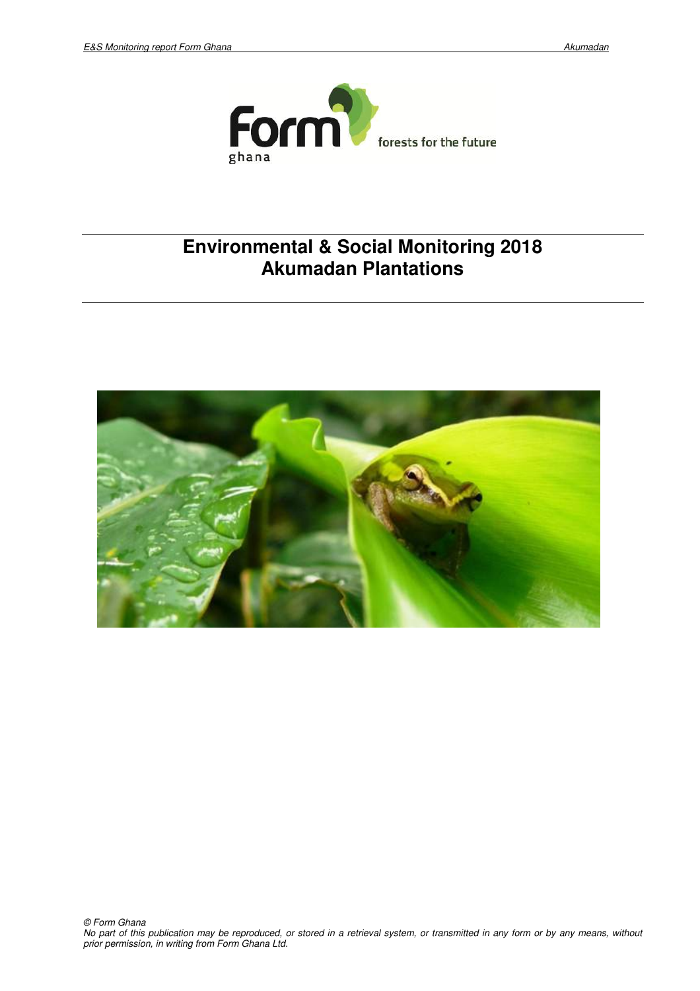

## **Environmental & Social Monitoring 2018 Akumadan Plantations**

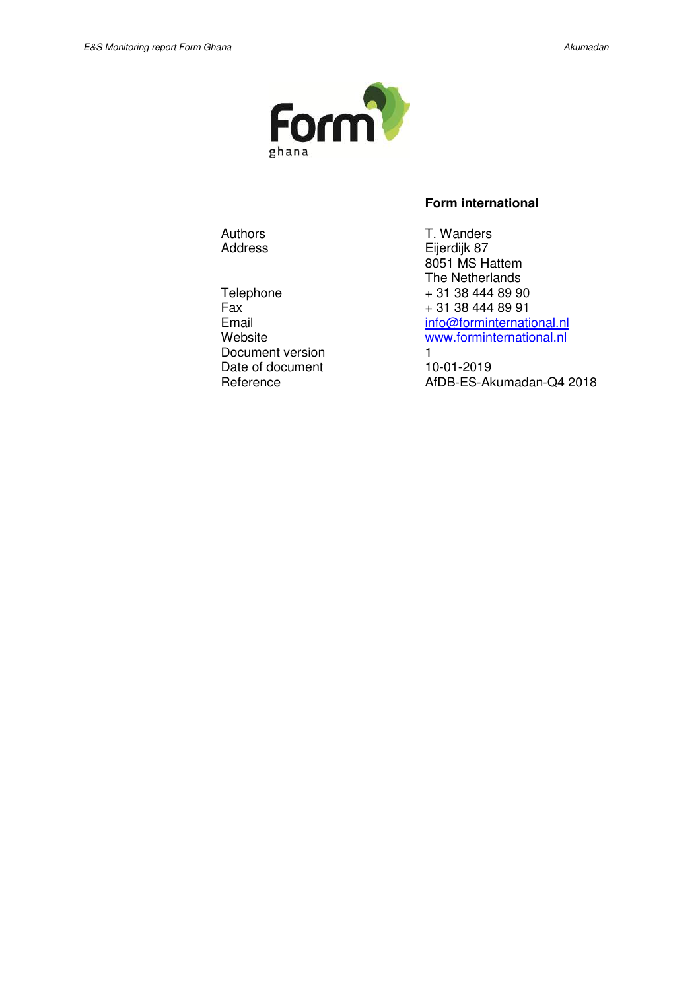

Document version<br>
Date of document
10-01-2019 Date of document<br>Reference

Authors **T. Wanders** Address Eijerdijk 87 8051 MS Hattem The Netherlands Telephone + 31 38 444 89 90<br>Fax + 31 38 444 89 91  $\begin{array}{r}\n\text{Fax} \\
\text{Email} \\
\text{mail} \\
\text{F31 38 444 89 91\n\end{array}$ info@forminternational.nl Website **Website** www.forminternational.nl

**Form international** 

AfDB-ES-Akumadan-Q4 2018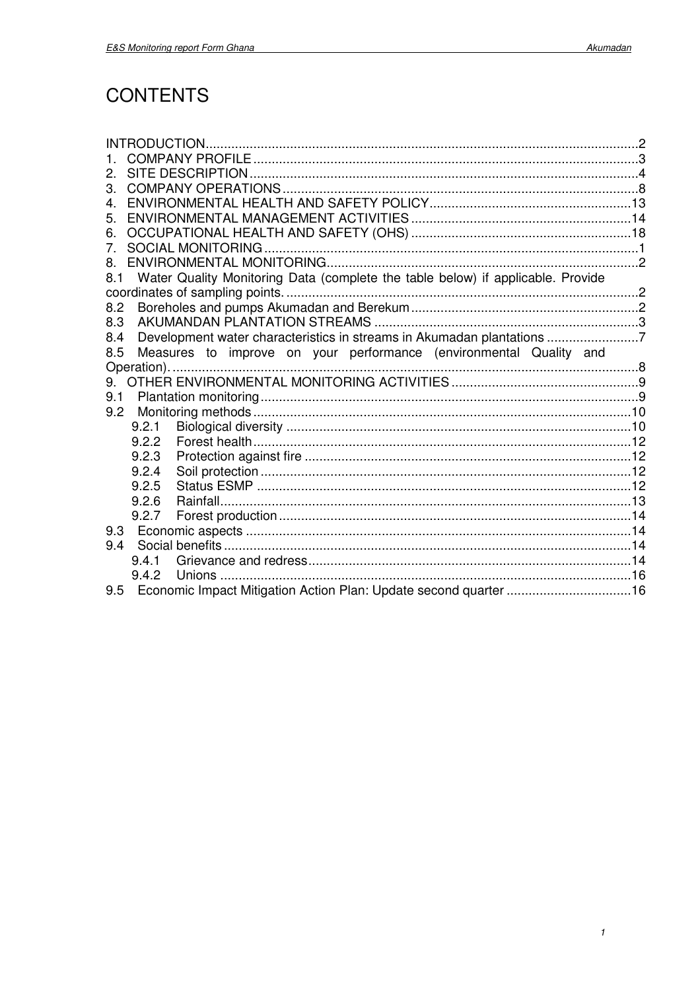# **CONTENTS**

| 1.  |       |                                                                                 |  |
|-----|-------|---------------------------------------------------------------------------------|--|
| 2.  |       |                                                                                 |  |
| 3.  |       |                                                                                 |  |
| 4   |       |                                                                                 |  |
| 5.  |       |                                                                                 |  |
| 6.  |       |                                                                                 |  |
| 7.  |       |                                                                                 |  |
| 8.  |       |                                                                                 |  |
| 8.1 |       | Water Quality Monitoring Data (complete the table below) if applicable. Provide |  |
|     |       |                                                                                 |  |
| 8.2 |       |                                                                                 |  |
| 8.3 |       |                                                                                 |  |
| 8.4 |       | Development water characteristics in streams in Akumadan plantations 7          |  |
| 8.5 |       | Measures to improve on your performance (environmental Quality and              |  |
|     |       |                                                                                 |  |
| 9.  |       |                                                                                 |  |
| 9.1 |       |                                                                                 |  |
| 9.2 |       |                                                                                 |  |
|     | 9.2.1 |                                                                                 |  |
|     | 9.2.2 |                                                                                 |  |
|     | 9.2.3 |                                                                                 |  |
|     | 9.2.4 |                                                                                 |  |
|     | 9.2.5 |                                                                                 |  |
|     | 9.2.6 |                                                                                 |  |
|     | 9.2.7 |                                                                                 |  |
| 9.3 |       |                                                                                 |  |
| 9.4 |       |                                                                                 |  |
|     | 9.4.1 |                                                                                 |  |
|     | 942   |                                                                                 |  |
| 9.5 |       |                                                                                 |  |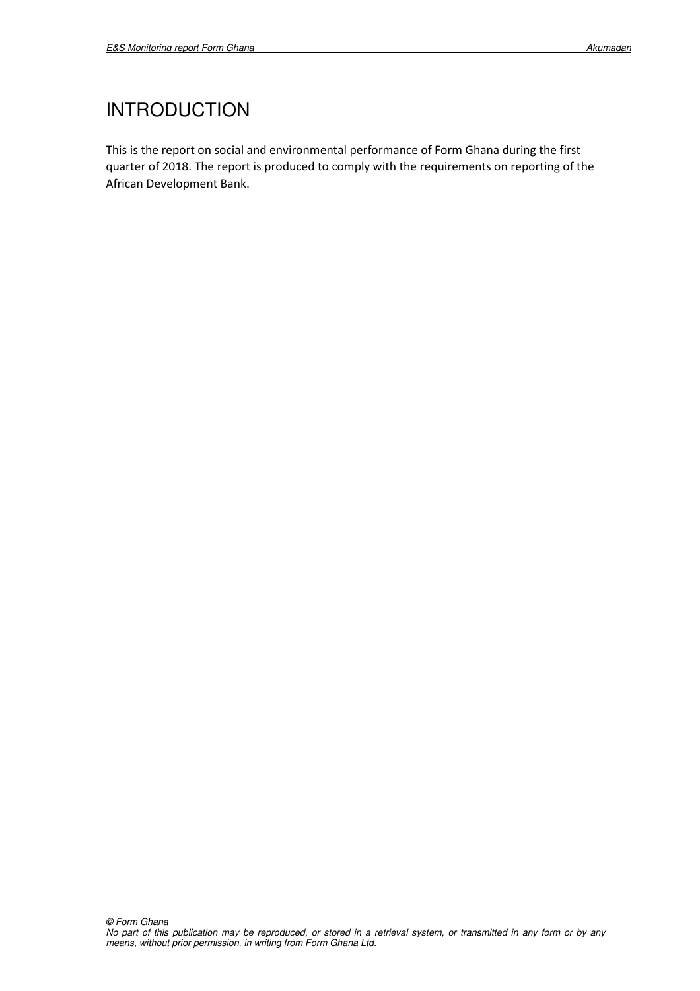# INTRODUCTION

This is the report on social and environmental performance of Form Ghana during the first quarter of 2018. The report is produced to comply with the requirements on reporting of the African Development Bank.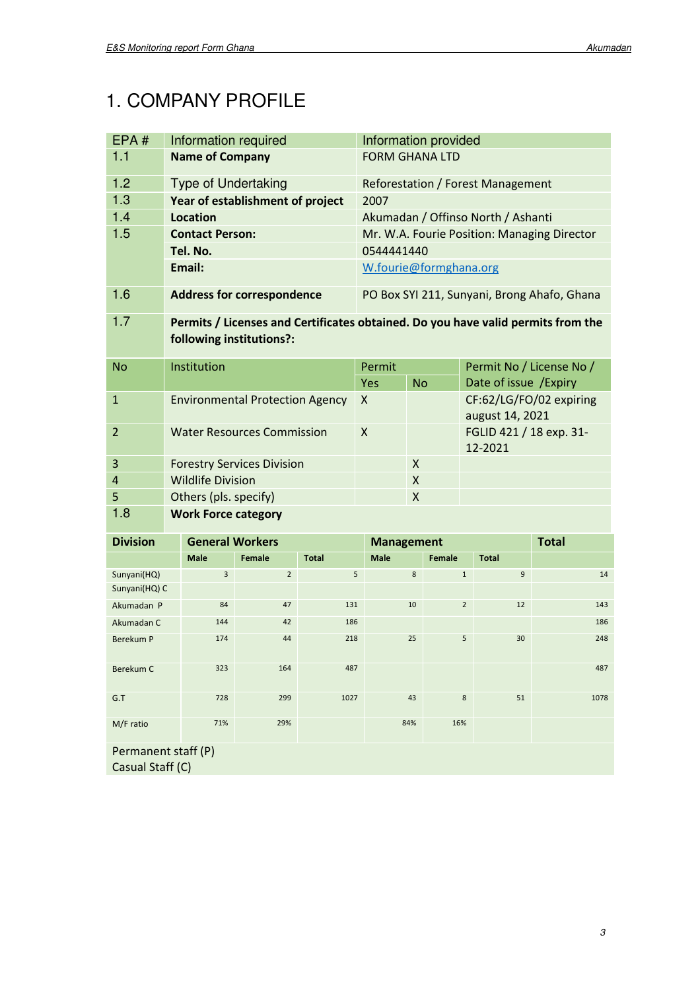# 1. COMPANY PROFILE

| EPA#                                    | Information required       |                                        |              | Information provided              |                                    |                                    |                        |                                                                                  |  |
|-----------------------------------------|----------------------------|----------------------------------------|--------------|-----------------------------------|------------------------------------|------------------------------------|------------------------|----------------------------------------------------------------------------------|--|
| 1.1                                     | <b>Name of Company</b>     |                                        |              | <b>FORM GHANA LTD</b>             |                                    |                                    |                        |                                                                                  |  |
| 1.2                                     | <b>Type of Undertaking</b> |                                        |              | Reforestation / Forest Management |                                    |                                    |                        |                                                                                  |  |
| 1.3                                     |                            | Year of establishment of project       |              | 2007                              |                                    |                                    |                        |                                                                                  |  |
| 1.4                                     | <b>Location</b>            |                                        |              |                                   |                                    | Akumadan / Offinso North / Ashanti |                        |                                                                                  |  |
| 1.5                                     | <b>Contact Person:</b>     |                                        |              |                                   |                                    |                                    |                        | Mr. W.A. Fourie Position: Managing Director                                      |  |
|                                         | Tel. No.                   |                                        |              | 0544441440                        |                                    |                                    |                        |                                                                                  |  |
|                                         | Email:                     |                                        |              | W.fourie@formghana.org            |                                    |                                    |                        |                                                                                  |  |
| 1.6                                     |                            | <b>Address for correspondence</b>      |              |                                   |                                    |                                    |                        | PO Box SYI 211, Sunyani, Brong Ahafo, Ghana                                      |  |
| 1.7                                     |                            | following institutions?:               |              |                                   |                                    |                                    |                        | Permits / Licenses and Certificates obtained. Do you have valid permits from the |  |
| <b>No</b>                               | Institution                |                                        |              | Permit                            |                                    |                                    |                        | Permit No / License No /                                                         |  |
|                                         |                            |                                        |              | Yes                               | <b>No</b>                          |                                    | Date of issue / Expiry |                                                                                  |  |
| $\mathbf{1}$                            |                            | <b>Environmental Protection Agency</b> |              | X                                 |                                    |                                    | august 14, 2021        | CF:62/LG/FO/02 expiring                                                          |  |
| $\overline{2}$                          |                            | <b>Water Resources Commission</b>      |              | X                                 | FGLID 421 / 18 exp. 31-<br>12-2021 |                                    |                        |                                                                                  |  |
| 3                                       |                            | <b>Forestry Services Division</b>      |              |                                   | $\pmb{\mathsf{X}}$                 |                                    |                        |                                                                                  |  |
| $\overline{4}$                          | <b>Wildlife Division</b>   |                                        |              |                                   | X                                  |                                    |                        |                                                                                  |  |
| 5                                       | Others (pls. specify)      |                                        |              |                                   | $\pmb{\mathsf{X}}$                 |                                    |                        |                                                                                  |  |
| 1.8                                     | <b>Work Force category</b> |                                        |              |                                   |                                    |                                    |                        |                                                                                  |  |
| <b>Division</b>                         | <b>General Workers</b>     |                                        |              | <b>Management</b>                 |                                    |                                    |                        | <b>Total</b>                                                                     |  |
|                                         | <b>Male</b>                | Female                                 | <b>Total</b> | <b>Male</b>                       |                                    | <b>Female</b>                      | <b>Total</b>           |                                                                                  |  |
| Sunyani(HQ)<br>Sunyani(HQ) C            | 3                          | $\overline{2}$                         |              | 5                                 | 8                                  | $1\,$                              | 9                      | 14                                                                               |  |
| Akumadan P                              | 84                         | 47                                     | 131          |                                   | 10                                 | $\overline{2}$                     | 12                     | 143                                                                              |  |
| Akumadan C                              | 144                        | 42                                     | 186          |                                   |                                    |                                    |                        | 186                                                                              |  |
| Berekum P                               | 174                        | 44                                     | 218          |                                   | 25                                 | 5                                  | 30                     | 248                                                                              |  |
| Berekum C                               | 323                        | 164                                    | 487          |                                   |                                    |                                    |                        | 487                                                                              |  |
| G.T                                     | 728                        | 299                                    | 1027         |                                   | 43                                 | 8                                  | 51                     | 1078                                                                             |  |
| M/F ratio                               | 71%                        | 29%                                    |              |                                   | 84%                                | 16%                                |                        |                                                                                  |  |
| Permanent staff (P)<br>Casual Staff (C) |                            |                                        |              |                                   |                                    |                                    |                        |                                                                                  |  |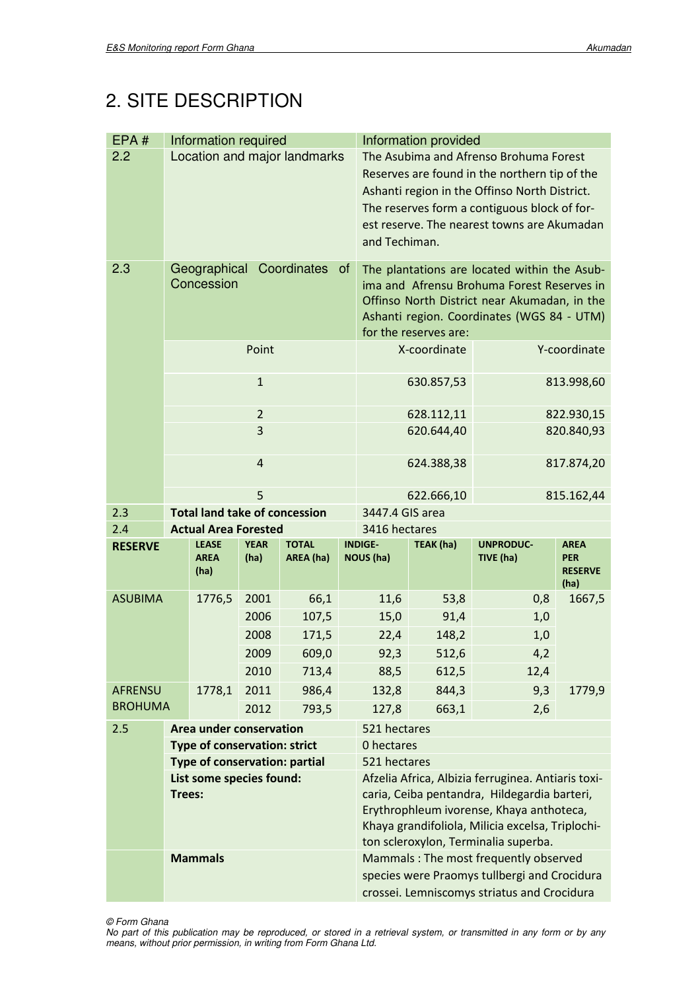# 2. SITE DESCRIPTION

| EPA#           | Information required                 |                |                              |    |                                               | Information provided     |                                                    |                                      |  |
|----------------|--------------------------------------|----------------|------------------------------|----|-----------------------------------------------|--------------------------|----------------------------------------------------|--------------------------------------|--|
| 2.2            |                                      |                | Location and major landmarks |    | The Asubima and Afrenso Brohuma Forest        |                          |                                                    |                                      |  |
|                |                                      |                |                              |    |                                               |                          | Reserves are found in the northern tip of the      |                                      |  |
|                |                                      |                |                              |    | Ashanti region in the Offinso North District. |                          |                                                    |                                      |  |
|                |                                      |                |                              |    |                                               |                          | The reserves form a contiguous block of for-       |                                      |  |
|                |                                      |                |                              |    | est reserve. The nearest towns are Akumadan   |                          |                                                    |                                      |  |
|                |                                      |                |                              |    | and Techiman.                                 |                          |                                                    |                                      |  |
| 2.3            | Geographical                         |                | Coordinates                  | of |                                               |                          | The plantations are located within the Asub-       |                                      |  |
|                | Concession                           |                |                              |    |                                               |                          | ima and Afrensu Brohuma Forest Reserves in         |                                      |  |
|                |                                      |                |                              |    |                                               |                          | Offinso North District near Akumadan, in the       |                                      |  |
|                |                                      |                |                              |    |                                               |                          | Ashanti region. Coordinates (WGS 84 - UTM)         |                                      |  |
|                |                                      |                |                              |    |                                               | for the reserves are:    |                                                    |                                      |  |
|                |                                      | Point          |                              |    |                                               | X-coordinate             |                                                    | Y-coordinate                         |  |
|                | $\mathbf{1}$                         |                |                              |    | 630.857,53                                    |                          | 813.998,60                                         |                                      |  |
|                | 2                                    |                |                              |    |                                               | 628.112,11               |                                                    | 822.930,15                           |  |
|                | 3                                    |                |                              |    |                                               | 620.644,40               |                                                    | 820.840,93                           |  |
|                |                                      |                |                              |    |                                               |                          |                                                    |                                      |  |
|                |                                      | $\overline{4}$ |                              |    |                                               | 624.388,38<br>817.874,20 |                                                    |                                      |  |
|                |                                      | 5              |                              |    |                                               | 622.666,10               |                                                    | 815.162,44                           |  |
| 2.3            | <b>Total land take of concession</b> |                |                              |    | 3447.4 GIS area                               |                          |                                                    |                                      |  |
| 2.4            | <b>Actual Area Forested</b>          |                |                              |    | 3416 hectares                                 |                          |                                                    |                                      |  |
| <b>RESERVE</b> | <b>LEASE</b>                         | <b>YEAR</b>    | <b>TOTAL</b>                 |    | <b>INDIGE-</b>                                | TEAK (ha)                | <b>UNPRODUC-</b>                                   | <b>AREA</b>                          |  |
|                | <b>AREA</b><br>(ha)                  | (ha)           | AREA (ha)                    |    | <b>NOUS (ha)</b>                              |                          | TIVE (ha)                                          | <b>PER</b><br><b>RESERVE</b><br>(ha) |  |
| <b>ASUBIMA</b> | 1776,5                               | 2001           | 66,1                         |    | 11,6                                          | 53,8                     | 0,8                                                | 1667,5                               |  |
|                |                                      | 2006           | 107,5                        |    | 15,0                                          | 91,4                     | 1,0                                                |                                      |  |
|                |                                      | 2008           | 171,5                        |    | 22,4                                          | 148,2                    | 1,0                                                |                                      |  |
|                |                                      | 2009           | 609,0                        |    | 92,3                                          | 512,6                    | 4,2                                                |                                      |  |
|                |                                      | 2010           | 713,4                        |    | 88,5                                          | 612,5                    | 12,4                                               |                                      |  |
| <b>AFRENSU</b> | 1778,1                               | 2011           | 986,4                        |    | 132,8                                         | 844,3                    | 9,3                                                | 1779,9                               |  |
| <b>BROHUMA</b> |                                      | 2012           | 793,5                        |    | 127,8                                         | 663,1                    | 2,6                                                |                                      |  |
| 2.5            | <b>Area under conservation</b>       |                |                              |    | 521 hectares                                  |                          |                                                    |                                      |  |
|                | Type of conservation: strict         |                |                              |    | 0 hectares                                    |                          |                                                    |                                      |  |
|                | Type of conservation: partial        |                |                              |    | 521 hectares                                  |                          |                                                    |                                      |  |
|                | List some species found:             |                |                              |    |                                               |                          | Afzelia Africa, Albizia ferruginea. Antiaris toxi- |                                      |  |
|                | Trees:                               |                |                              |    |                                               |                          | caria, Ceiba pentandra, Hildegardia barteri,       |                                      |  |
|                |                                      |                |                              |    |                                               |                          | Erythrophleum ivorense, Khaya anthoteca,           |                                      |  |
|                |                                      |                |                              |    |                                               |                          | Khaya grandifoliola, Milicia excelsa, Triplochi-   |                                      |  |
|                |                                      |                |                              |    |                                               |                          |                                                    |                                      |  |
|                |                                      |                |                              |    |                                               |                          | ton scleroxylon, Terminalia superba.               |                                      |  |
|                | <b>Mammals</b>                       |                |                              |    |                                               |                          | Mammals: The most frequently observed              |                                      |  |
|                |                                      |                |                              |    |                                               |                          | species were Praomys tullbergi and Crocidura       |                                      |  |

© Form Ghana

No part of this publication may be reproduced, or stored in a retrieval system, or transmitted in any form or by any means, without prior permission, in writing from Form Ghana Ltd.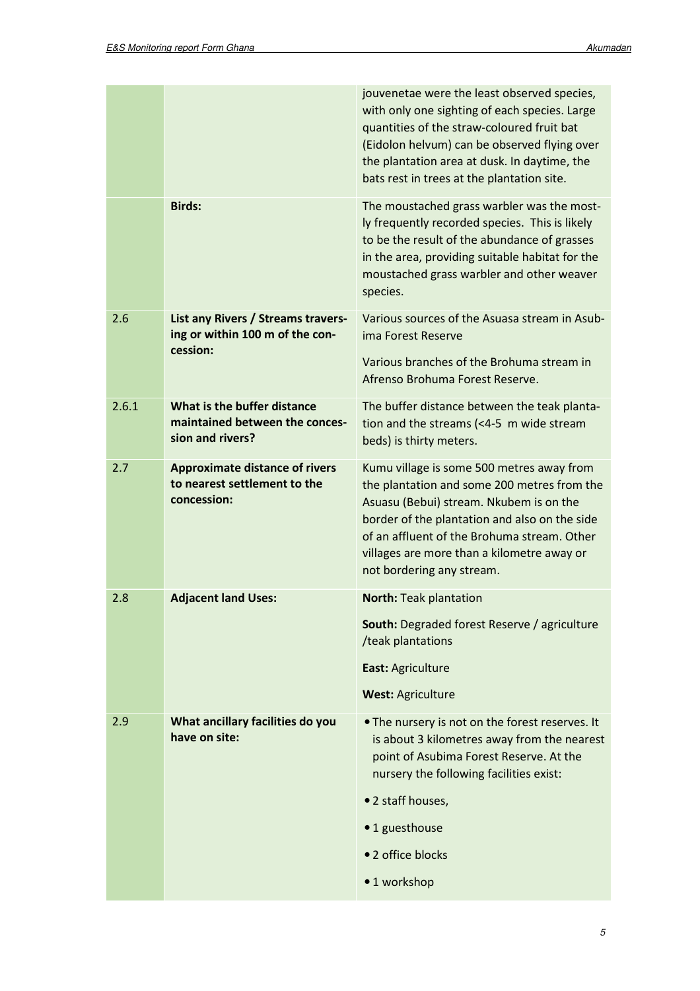|       |                                                                                      | jouvenetae were the least observed species,<br>with only one sighting of each species. Large<br>quantities of the straw-coloured fruit bat<br>(Eidolon helvum) can be observed flying over<br>the plantation area at dusk. In daytime, the<br>bats rest in trees at the plantation site.                       |
|-------|--------------------------------------------------------------------------------------|----------------------------------------------------------------------------------------------------------------------------------------------------------------------------------------------------------------------------------------------------------------------------------------------------------------|
|       | <b>Birds:</b>                                                                        | The moustached grass warbler was the most-<br>ly frequently recorded species. This is likely<br>to be the result of the abundance of grasses<br>in the area, providing suitable habitat for the<br>moustached grass warbler and other weaver<br>species.                                                       |
| 2.6   | List any Rivers / Streams travers-<br>ing or within 100 m of the con-                | Various sources of the Asuasa stream in Asub-<br>ima Forest Reserve                                                                                                                                                                                                                                            |
|       | cession:                                                                             | Various branches of the Brohuma stream in<br>Afrenso Brohuma Forest Reserve.                                                                                                                                                                                                                                   |
| 2.6.1 | What is the buffer distance<br>maintained between the conces-<br>sion and rivers?    | The buffer distance between the teak planta-<br>tion and the streams (<4-5 m wide stream<br>beds) is thirty meters.                                                                                                                                                                                            |
| 2.7   | <b>Approximate distance of rivers</b><br>to nearest settlement to the<br>concession: | Kumu village is some 500 metres away from<br>the plantation and some 200 metres from the<br>Asuasu (Bebui) stream. Nkubem is on the<br>border of the plantation and also on the side<br>of an affluent of the Brohuma stream. Other<br>villages are more than a kilometre away or<br>not bordering any stream. |
| 2.8   | <b>Adjacent land Uses:</b>                                                           | <b>North: Teak plantation</b>                                                                                                                                                                                                                                                                                  |
|       |                                                                                      | South: Degraded forest Reserve / agriculture<br>/teak plantations                                                                                                                                                                                                                                              |
|       |                                                                                      | East: Agriculture                                                                                                                                                                                                                                                                                              |
|       |                                                                                      | West: Agriculture                                                                                                                                                                                                                                                                                              |
| 2.9   | What ancillary facilities do you<br>have on site:                                    | . The nursery is not on the forest reserves. It<br>is about 3 kilometres away from the nearest<br>point of Asubima Forest Reserve. At the<br>nursery the following facilities exist:                                                                                                                           |
|       |                                                                                      | • 2 staff houses,                                                                                                                                                                                                                                                                                              |
|       |                                                                                      | •1 guesthouse                                                                                                                                                                                                                                                                                                  |
|       |                                                                                      | • 2 office blocks                                                                                                                                                                                                                                                                                              |
|       |                                                                                      | •1 workshop                                                                                                                                                                                                                                                                                                    |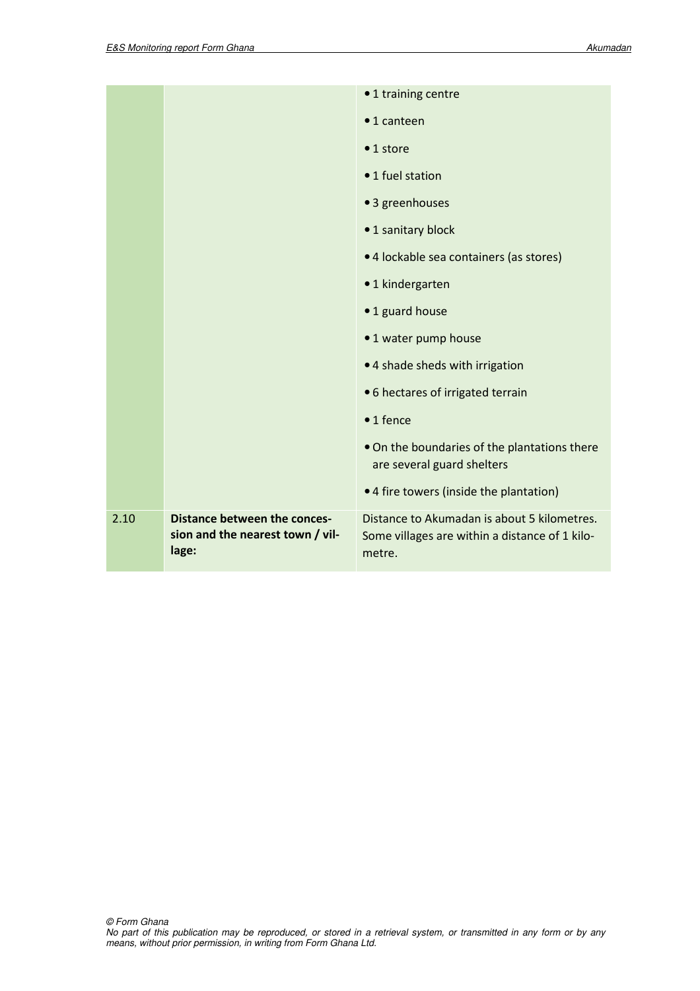|      |                                                                                  | •1 training centre                                                                                      |
|------|----------------------------------------------------------------------------------|---------------------------------------------------------------------------------------------------------|
|      |                                                                                  | $\bullet$ 1 canteen                                                                                     |
|      |                                                                                  | • 1 store                                                                                               |
|      |                                                                                  | • 1 fuel station                                                                                        |
|      |                                                                                  | • 3 greenhouses                                                                                         |
|      |                                                                                  | •1 sanitary block                                                                                       |
|      |                                                                                  | • 4 lockable sea containers (as stores)                                                                 |
|      |                                                                                  | •1 kindergarten                                                                                         |
|      |                                                                                  | • 1 guard house                                                                                         |
|      |                                                                                  | •1 water pump house                                                                                     |
|      |                                                                                  | • 4 shade sheds with irrigation                                                                         |
|      |                                                                                  | • 6 hectares of irrigated terrain                                                                       |
|      |                                                                                  | $• 1$ fence                                                                                             |
|      |                                                                                  | . On the boundaries of the plantations there<br>are several guard shelters                              |
|      |                                                                                  | • 4 fire towers (inside the plantation)                                                                 |
| 2.10 | <b>Distance between the conces-</b><br>sion and the nearest town / vil-<br>lage: | Distance to Akumadan is about 5 kilometres.<br>Some villages are within a distance of 1 kilo-<br>metre. |
|      |                                                                                  |                                                                                                         |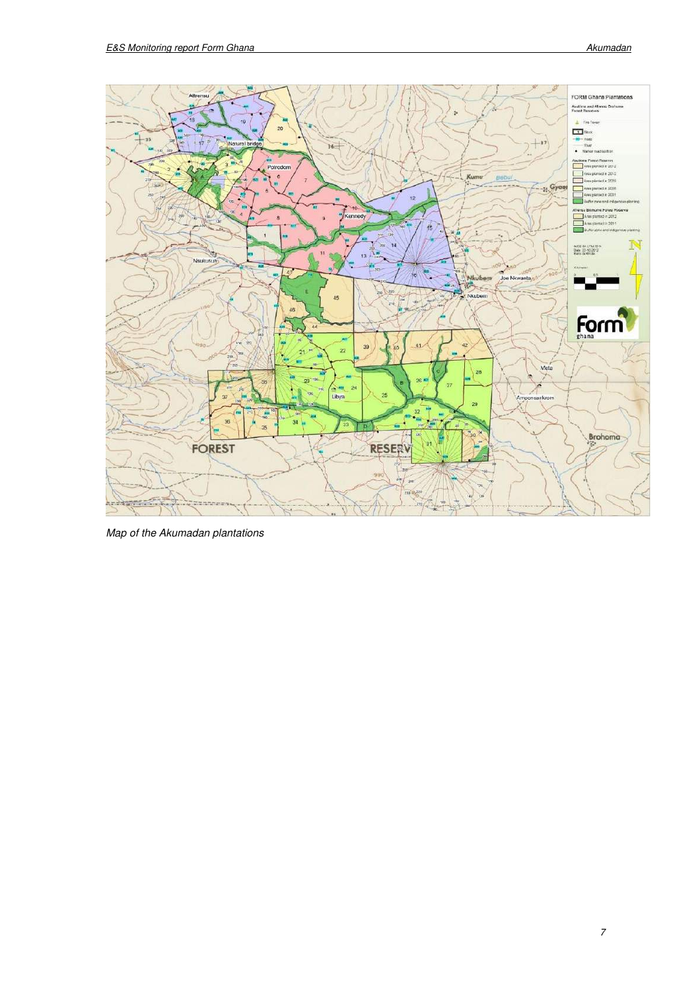

Map of the Akumadan plantations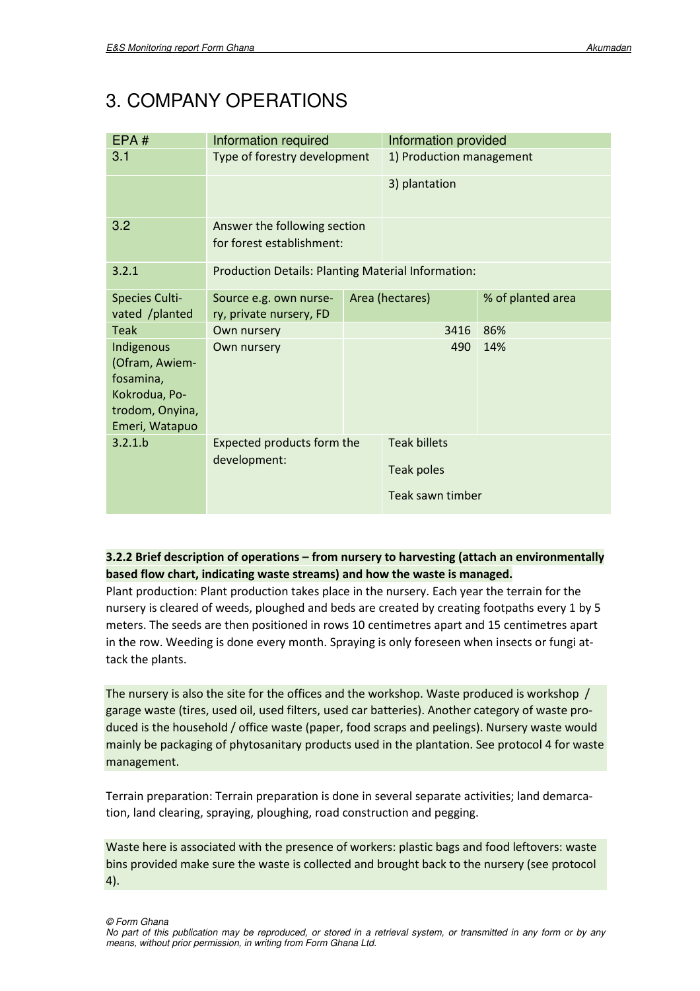## 3. COMPANY OPERATIONS

| EPA#                                                                                            | Information required                                      |            | Information provided     |                   |  |
|-------------------------------------------------------------------------------------------------|-----------------------------------------------------------|------------|--------------------------|-------------------|--|
| 3.1                                                                                             | Type of forestry development                              |            | 1) Production management |                   |  |
|                                                                                                 |                                                           |            | 3) plantation            |                   |  |
| 3.2                                                                                             | Answer the following section<br>for forest establishment: |            |                          |                   |  |
| 3.2.1                                                                                           | <b>Production Details: Planting Material Information:</b> |            |                          |                   |  |
| <b>Species Culti-</b><br>vated /planted                                                         | Source e.g. own nurse-<br>ry, private nursery, FD         |            | Area (hectares)          | % of planted area |  |
| <b>Teak</b>                                                                                     | Own nursery                                               |            | 3416                     | 86%               |  |
| Indigenous<br>(Ofram, Awiem-<br>fosamina,<br>Kokrodua, Po-<br>trodom, Onyina,<br>Emeri, Watapuo | Own nursery                                               |            | 490                      | 14%               |  |
| 3.2.1.b                                                                                         | Expected products form the                                |            | <b>Teak billets</b>      |                   |  |
|                                                                                                 | development:                                              | Teak poles |                          |                   |  |
|                                                                                                 |                                                           |            | Teak sawn timber         |                   |  |

#### **3.2.2 Brief description of operations – from nursery to harvesting (attach an environmentally based flow chart, indicating waste streams) and how the waste is managed.**

Plant production: Plant production takes place in the nursery. Each year the terrain for the nursery is cleared of weeds, ploughed and beds are created by creating footpaths every 1 by 5 meters. The seeds are then positioned in rows 10 centimetres apart and 15 centimetres apart in the row. Weeding is done every month. Spraying is only foreseen when insects or fungi attack the plants.

The nursery is also the site for the offices and the workshop. Waste produced is workshop / garage waste (tires, used oil, used filters, used car batteries). Another category of waste produced is the household / office waste (paper, food scraps and peelings). Nursery waste would mainly be packaging of phytosanitary products used in the plantation. See protocol 4 for waste management.

Terrain preparation: Terrain preparation is done in several separate activities; land demarcation, land clearing, spraying, ploughing, road construction and pegging.

Waste here is associated with the presence of workers: plastic bags and food leftovers: waste bins provided make sure the waste is collected and brought back to the nursery (see protocol 4).

© Form Ghana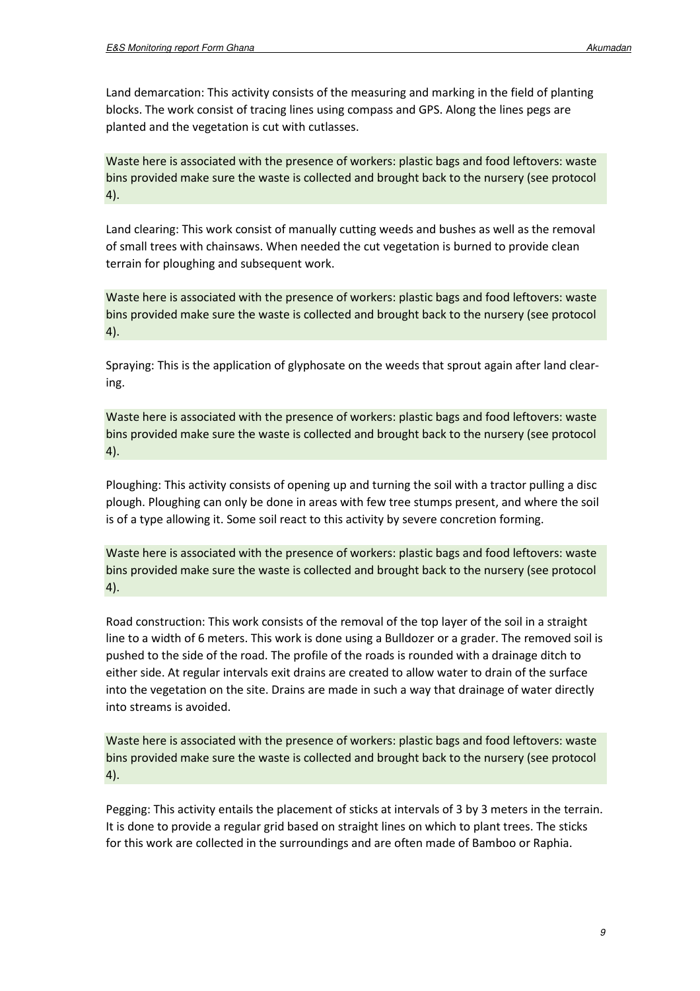Land demarcation: This activity consists of the measuring and marking in the field of planting blocks. The work consist of tracing lines using compass and GPS. Along the lines pegs are planted and the vegetation is cut with cutlasses.

Waste here is associated with the presence of workers: plastic bags and food leftovers: waste bins provided make sure the waste is collected and brought back to the nursery (see protocol 4).

Land clearing: This work consist of manually cutting weeds and bushes as well as the removal of small trees with chainsaws. When needed the cut vegetation is burned to provide clean terrain for ploughing and subsequent work.

Waste here is associated with the presence of workers: plastic bags and food leftovers: waste bins provided make sure the waste is collected and brought back to the nursery (see protocol 4).

Spraying: This is the application of glyphosate on the weeds that sprout again after land clearing.

Waste here is associated with the presence of workers: plastic bags and food leftovers: waste bins provided make sure the waste is collected and brought back to the nursery (see protocol 4).

Ploughing: This activity consists of opening up and turning the soil with a tractor pulling a disc plough. Ploughing can only be done in areas with few tree stumps present, and where the soil is of a type allowing it. Some soil react to this activity by severe concretion forming.

Waste here is associated with the presence of workers: plastic bags and food leftovers: waste bins provided make sure the waste is collected and brought back to the nursery (see protocol 4).

Road construction: This work consists of the removal of the top layer of the soil in a straight line to a width of 6 meters. This work is done using a Bulldozer or a grader. The removed soil is pushed to the side of the road. The profile of the roads is rounded with a drainage ditch to either side. At regular intervals exit drains are created to allow water to drain of the surface into the vegetation on the site. Drains are made in such a way that drainage of water directly into streams is avoided.

Waste here is associated with the presence of workers: plastic bags and food leftovers: waste bins provided make sure the waste is collected and brought back to the nursery (see protocol 4).

Pegging: This activity entails the placement of sticks at intervals of 3 by 3 meters in the terrain. It is done to provide a regular grid based on straight lines on which to plant trees. The sticks for this work are collected in the surroundings and are often made of Bamboo or Raphia.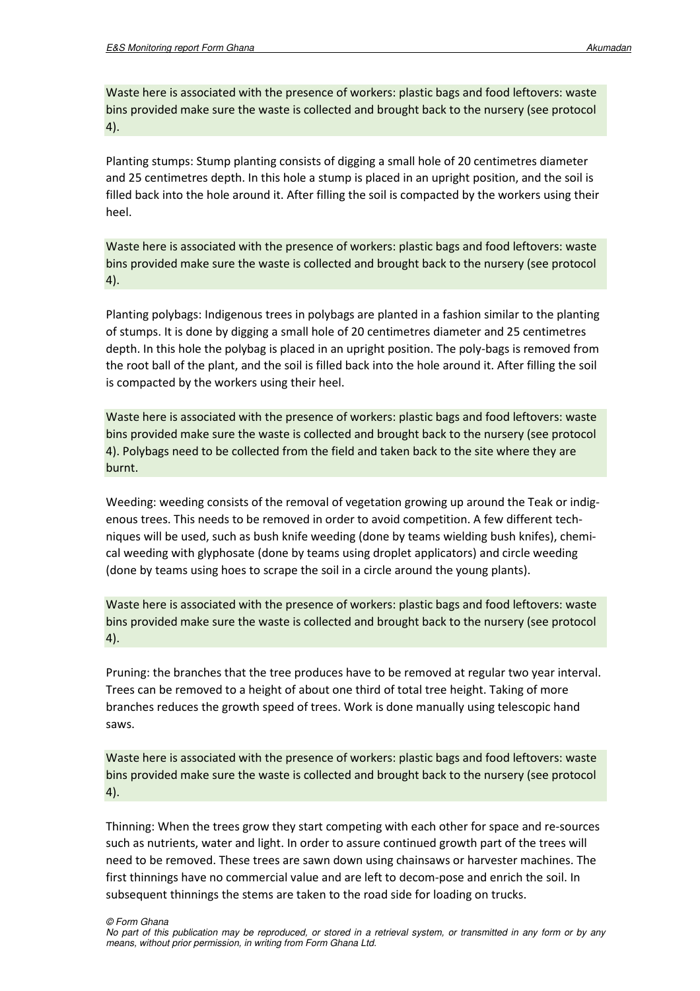Waste here is associated with the presence of workers: plastic bags and food leftovers: waste bins provided make sure the waste is collected and brought back to the nursery (see protocol 4).

Planting stumps: Stump planting consists of digging a small hole of 20 centimetres diameter and 25 centimetres depth. In this hole a stump is placed in an upright position, and the soil is filled back into the hole around it. After filling the soil is compacted by the workers using their heel.

Waste here is associated with the presence of workers: plastic bags and food leftovers: waste bins provided make sure the waste is collected and brought back to the nursery (see protocol 4).

Planting polybags: Indigenous trees in polybags are planted in a fashion similar to the planting of stumps. It is done by digging a small hole of 20 centimetres diameter and 25 centimetres depth. In this hole the polybag is placed in an upright position. The poly-bags is removed from the root ball of the plant, and the soil is filled back into the hole around it. After filling the soil is compacted by the workers using their heel.

Waste here is associated with the presence of workers: plastic bags and food leftovers: waste bins provided make sure the waste is collected and brought back to the nursery (see protocol 4). Polybags need to be collected from the field and taken back to the site where they are burnt.

Weeding: weeding consists of the removal of vegetation growing up around the Teak or indigenous trees. This needs to be removed in order to avoid competition. A few different techniques will be used, such as bush knife weeding (done by teams wielding bush knifes), chemical weeding with glyphosate (done by teams using droplet applicators) and circle weeding (done by teams using hoes to scrape the soil in a circle around the young plants).

Waste here is associated with the presence of workers: plastic bags and food leftovers: waste bins provided make sure the waste is collected and brought back to the nursery (see protocol 4).

Pruning: the branches that the tree produces have to be removed at regular two year interval. Trees can be removed to a height of about one third of total tree height. Taking of more branches reduces the growth speed of trees. Work is done manually using telescopic hand saws.

Waste here is associated with the presence of workers: plastic bags and food leftovers: waste bins provided make sure the waste is collected and brought back to the nursery (see protocol 4).

Thinning: When the trees grow they start competing with each other for space and re-sources such as nutrients, water and light. In order to assure continued growth part of the trees will need to be removed. These trees are sawn down using chainsaws or harvester machines. The first thinnings have no commercial value and are left to decom-pose and enrich the soil. In subsequent thinnings the stems are taken to the road side for loading on trucks.

© Form Ghana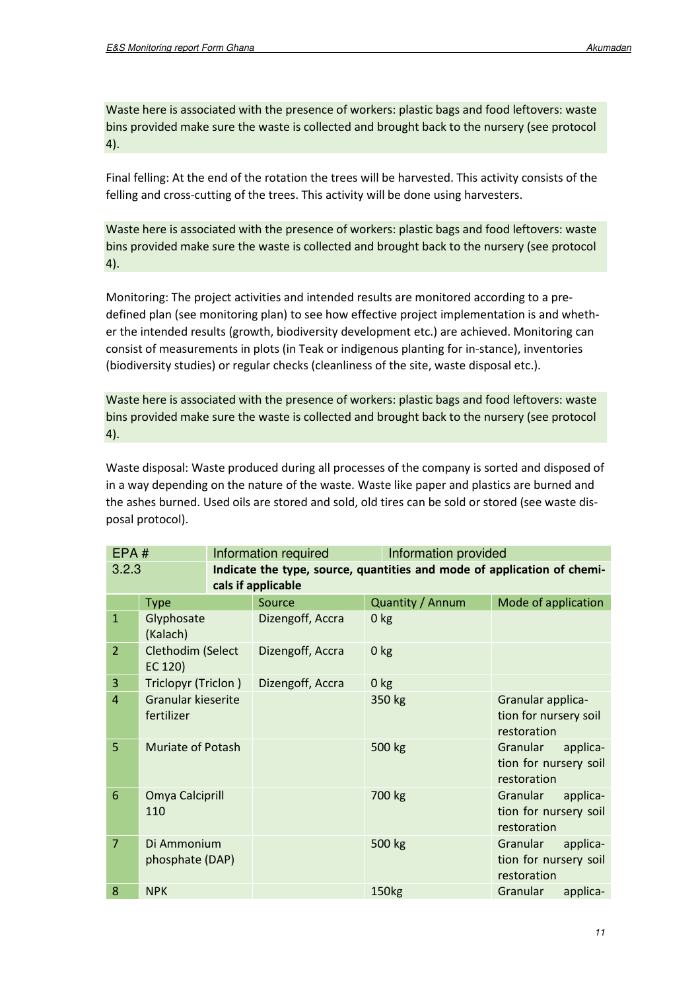Waste here is associated with the presence of workers: plastic bags and food leftovers: waste bins provided make sure the waste is collected and brought back to the nursery (see protocol 4).

Final felling: At the end of the rotation the trees will be harvested. This activity consists of the felling and cross-cutting of the trees. This activity will be done using harvesters.

Waste here is associated with the presence of workers: plastic bags and food leftovers: waste bins provided make sure the waste is collected and brought back to the nursery (see protocol 4).

Monitoring: The project activities and intended results are monitored according to a predefined plan (see monitoring plan) to see how effective project implementation is and whether the intended results (growth, biodiversity development etc.) are achieved. Monitoring can consist of measurements in plots (in Teak or indigenous planting for in-stance), inventories (biodiversity studies) or regular checks (cleanliness of the site, waste disposal etc.).

Waste here is associated with the presence of workers: plastic bags and food leftovers: waste bins provided make sure the waste is collected and brought back to the nursery (see protocol 4).

Waste disposal: Waste produced during all processes of the company is sorted and disposed of in a way depending on the nature of the waste. Waste like paper and plastics are burned and the ashes burned. Used oils are stored and sold, old tires can be sold or stored (see waste disposal protocol).

| EPA#           |                                         |  | Information required | Information provided                                                    |                                                              |  |
|----------------|-----------------------------------------|--|----------------------|-------------------------------------------------------------------------|--------------------------------------------------------------|--|
|                | 3.2.3                                   |  | cals if applicable   | Indicate the type, source, quantities and mode of application of chemi- |                                                              |  |
|                | <b>Type</b>                             |  | Source               | Quantity / Annum                                                        | Mode of application                                          |  |
| $\mathbf{1}$   | Glyphosate<br>(Kalach)                  |  | Dizengoff, Accra     | $0$ kg                                                                  |                                                              |  |
| $\overline{2}$ | Clethodim (Select<br>EC 120)            |  | Dizengoff, Accra     | 0 <sub>kg</sub>                                                         |                                                              |  |
| 3              | Triclopyr (Triclon)                     |  | Dizengoff, Accra     | 0 <sub>kg</sub>                                                         |                                                              |  |
| $\overline{4}$ | <b>Granular kieserite</b><br>fertilizer |  |                      | 350 kg                                                                  | Granular applica-<br>tion for nursery soil<br>restoration    |  |
| 5              | Muriate of Potash                       |  |                      | 500 kg                                                                  | Granular<br>applica-<br>tion for nursery soil<br>restoration |  |
| 6              | Omya Calciprill<br>110                  |  |                      | 700 kg                                                                  | Granular<br>applica-<br>tion for nursery soil<br>restoration |  |
| $\overline{7}$ | Di Ammonium<br>phosphate (DAP)          |  |                      | 500 kg                                                                  | Granular<br>applica-<br>tion for nursery soil<br>restoration |  |
| 8              | <b>NPK</b>                              |  |                      | <b>150kg</b>                                                            | Granular<br>applica-                                         |  |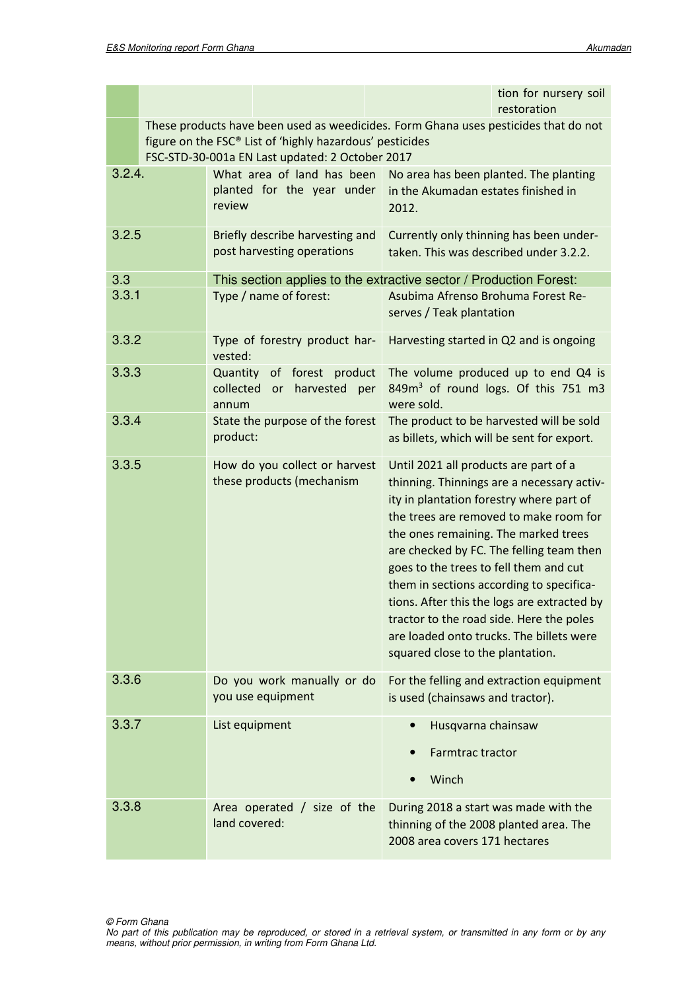|        |  |                    |                                                                                                             |     |                                                                                                                                                                                                         | tion for nursery soil<br>restoration                                                                                                                                                                                                                                                                                |
|--------|--|--------------------|-------------------------------------------------------------------------------------------------------------|-----|---------------------------------------------------------------------------------------------------------------------------------------------------------------------------------------------------------|---------------------------------------------------------------------------------------------------------------------------------------------------------------------------------------------------------------------------------------------------------------------------------------------------------------------|
|        |  |                    | figure on the FSC® List of 'highly hazardous' pesticides<br>FSC-STD-30-001a EN Last updated: 2 October 2017 |     |                                                                                                                                                                                                         | These products have been used as weedicides. Form Ghana uses pesticides that do not                                                                                                                                                                                                                                 |
| 3.2.4. |  | review             | What area of land has been<br>planted for the year under                                                    |     | in the Akumadan estates finished in<br>2012.                                                                                                                                                            | No area has been planted. The planting                                                                                                                                                                                                                                                                              |
| 3.2.5  |  |                    | Briefly describe harvesting and<br>post harvesting operations                                               |     | taken. This was described under 3.2.2.                                                                                                                                                                  | Currently only thinning has been under-                                                                                                                                                                                                                                                                             |
| 3.3    |  |                    | This section applies to the extractive sector / Production Forest:                                          |     |                                                                                                                                                                                                         |                                                                                                                                                                                                                                                                                                                     |
| 3.3.1  |  |                    | Type / name of forest:                                                                                      |     | Asubima Afrenso Brohuma Forest Re-<br>serves / Teak plantation                                                                                                                                          |                                                                                                                                                                                                                                                                                                                     |
| 3.3.2  |  | vested:            | Type of forestry product har-                                                                               |     |                                                                                                                                                                                                         | Harvesting started in Q2 and is ongoing                                                                                                                                                                                                                                                                             |
| 3.3.3  |  | collected<br>annum | Quantity of forest product<br>or harvested                                                                  | per | were sold.                                                                                                                                                                                              | The volume produced up to end Q4 is<br>849m <sup>3</sup> of round logs. Of this 751 m3                                                                                                                                                                                                                              |
| 3.3.4  |  | product:           | State the purpose of the forest                                                                             |     |                                                                                                                                                                                                         | The product to be harvested will be sold<br>as billets, which will be sent for export.                                                                                                                                                                                                                              |
| 3.3.5  |  |                    | How do you collect or harvest<br>these products (mechanism                                                  |     | Until 2021 all products are part of a<br>ity in plantation forestry where part of<br>the ones remaining. The marked trees<br>goes to the trees to fell them and cut<br>squared close to the plantation. | thinning. Thinnings are a necessary activ-<br>the trees are removed to make room for<br>are checked by FC. The felling team then<br>them in sections according to specifica-<br>tions. After this the logs are extracted by<br>tractor to the road side. Here the poles<br>are loaded onto trucks. The billets were |
| 3.3.6  |  |                    | Do you work manually or do<br>you use equipment                                                             |     | is used (chainsaws and tractor).                                                                                                                                                                        | For the felling and extraction equipment                                                                                                                                                                                                                                                                            |
| 3.3.7  |  |                    | List equipment                                                                                              |     | Husqvarna chainsaw<br><b>Farmtrac tractor</b><br>Winch                                                                                                                                                  |                                                                                                                                                                                                                                                                                                                     |
| 3.3.8  |  | land covered:      | Area operated / size of the                                                                                 |     | thinning of the 2008 planted area. The<br>2008 area covers 171 hectares                                                                                                                                 | During 2018 a start was made with the                                                                                                                                                                                                                                                                               |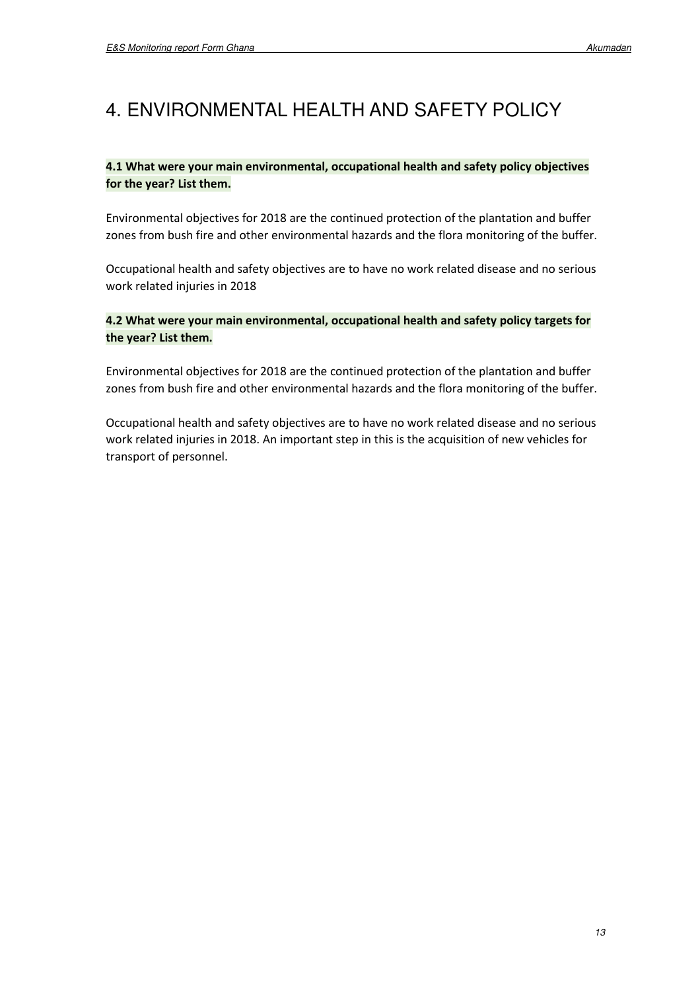# 4. ENVIRONMENTAL HEALTH AND SAFETY POLICY

#### **4.1 What were your main environmental, occupational health and safety policy objectives for the year? List them.**

Environmental objectives for 2018 are the continued protection of the plantation and buffer zones from bush fire and other environmental hazards and the flora monitoring of the buffer.

Occupational health and safety objectives are to have no work related disease and no serious work related injuries in 2018

#### **4.2 What were your main environmental, occupational health and safety policy targets for the year? List them.**

Environmental objectives for 2018 are the continued protection of the plantation and buffer zones from bush fire and other environmental hazards and the flora monitoring of the buffer.

Occupational health and safety objectives are to have no work related disease and no serious work related injuries in 2018. An important step in this is the acquisition of new vehicles for transport of personnel.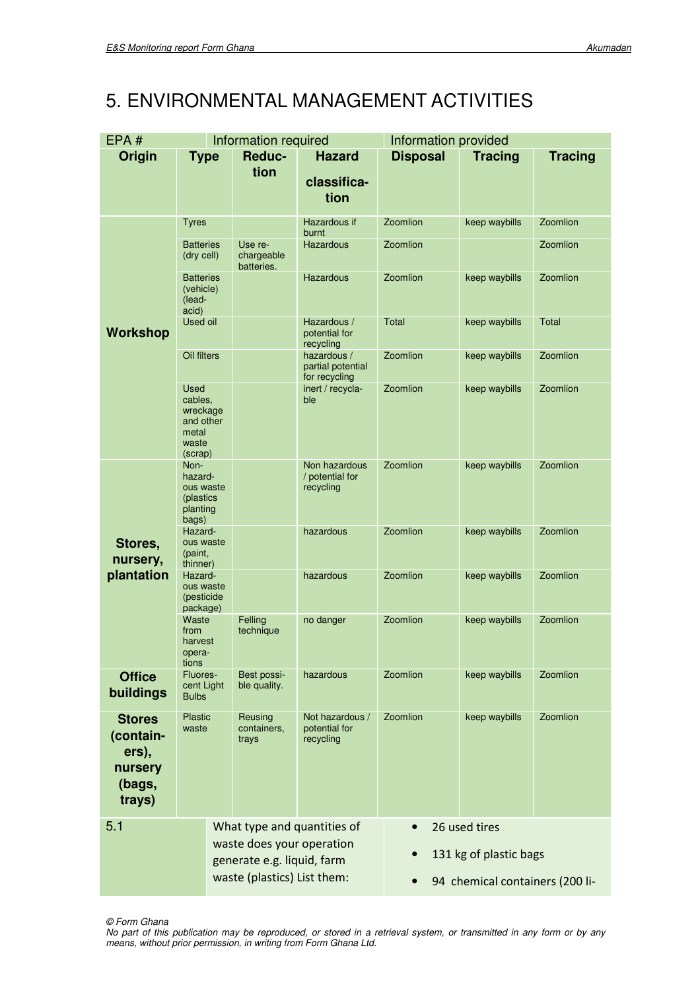## 5. ENVIRONMENTAL MANAGEMENT ACTIVITIES

| EPA#                                                               | Information required                                                         |                                     | Information provided                              |                 |                                 |                 |
|--------------------------------------------------------------------|------------------------------------------------------------------------------|-------------------------------------|---------------------------------------------------|-----------------|---------------------------------|-----------------|
| <b>Origin</b>                                                      | <b>Type</b>                                                                  | <b>Reduc-</b>                       | <b>Hazard</b>                                     | <b>Disposal</b> | <b>Tracing</b>                  | <b>Tracing</b>  |
|                                                                    |                                                                              | tion                                | classifica-<br>tion                               |                 |                                 |                 |
|                                                                    | <b>Tyres</b>                                                                 |                                     | Hazardous if<br>burnt                             | Zoomlion        | keep waybills                   | <b>Zoomlion</b> |
|                                                                    | <b>Batteries</b><br>(dry cell)                                               | Use re-<br>chargeable<br>batteries. | <b>Hazardous</b>                                  | Zoomlion        |                                 | Zoomlion        |
|                                                                    | <b>Batteries</b><br>(vehicle)<br>(lead-<br>acid)                             |                                     | <b>Hazardous</b>                                  | Zoomlion        | keep waybills                   | Zoomlion        |
| <b>Workshop</b>                                                    | <b>Used oil</b>                                                              |                                     | Hazardous /<br>potential for<br>recycling         | Total           | keep waybills                   | Total           |
|                                                                    | Oil filters                                                                  |                                     | hazardous /<br>partial potential<br>for recycling | Zoomlion        | keep waybills                   | Zoomlion        |
|                                                                    | <b>Used</b><br>cables,<br>wreckage<br>and other<br>metal<br>waste<br>(scrap) |                                     | inert / recycla-<br>ble                           | Zoomlion        | keep waybills                   | Zoomlion        |
|                                                                    | Non-<br>hazard-<br>ous waste<br>(plastics<br>planting<br>bags)               |                                     | Non hazardous<br>/ potential for<br>recycling     | Zoomlion        | keep waybills                   | Zoomlion        |
| Stores,<br>nursery,                                                | Hazard-<br>ous waste<br>(paint,<br>thinner)                                  |                                     | hazardous                                         | Zoomlion        | keep waybills                   | Zoomlion        |
| plantation                                                         | Hazard-<br>ous waste<br>(pesticide<br>package)                               |                                     | hazardous                                         | Zoomlion        | keep waybills                   | Zoomlion        |
|                                                                    | Waste<br>from<br>harvest<br>opera-<br>tions                                  | Felling<br>technique                | no danger                                         | Zoomlion        | keep waybills                   | Zoomlion        |
| <b>Office</b><br>buildings                                         | Fluores-<br>cent Light<br><b>Bulbs</b>                                       | Best possi-<br>ble quality.         | hazardous                                         | Zoomlion        | keep waybills                   | Zoomlion        |
| <b>Stores</b><br>(contain-<br>ers),<br>nursery<br>(bags,<br>trays) | <b>Plastic</b><br>waste                                                      | Reusing<br>containers,<br>trays     | Not hazardous /<br>potential for<br>recycling     | Zoomlion        | keep waybills                   | Zoomlion        |
| 5.1                                                                |                                                                              | What type and quantities of         |                                                   |                 | 26 used tires                   |                 |
|                                                                    |                                                                              | waste does your operation           |                                                   |                 | 131 kg of plastic bags          |                 |
|                                                                    |                                                                              | generate e.g. liquid, farm          |                                                   |                 |                                 |                 |
|                                                                    |                                                                              | waste (plastics) List them:         |                                                   |                 | 94 chemical containers (200 li- |                 |

© Form Ghana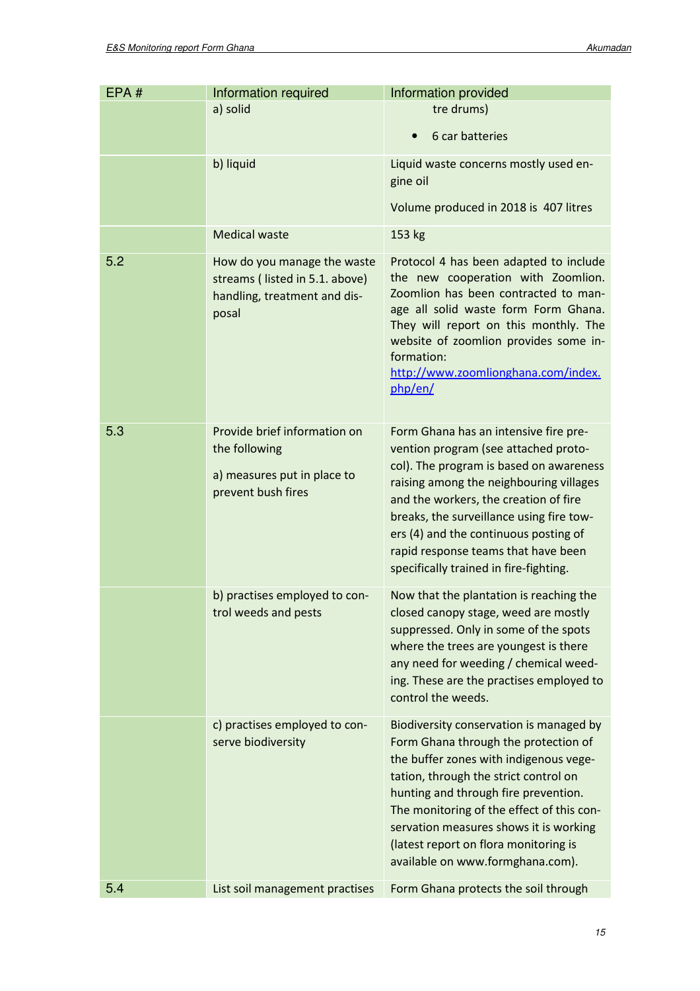| EPA# | Information required                                                                                   | <b>Information provided</b>                                                                                                                                                                                                                                                                                                                                                        |
|------|--------------------------------------------------------------------------------------------------------|------------------------------------------------------------------------------------------------------------------------------------------------------------------------------------------------------------------------------------------------------------------------------------------------------------------------------------------------------------------------------------|
|      | a) solid                                                                                               | tre drums)                                                                                                                                                                                                                                                                                                                                                                         |
|      |                                                                                                        | 6 car batteries                                                                                                                                                                                                                                                                                                                                                                    |
|      | b) liquid                                                                                              | Liquid waste concerns mostly used en-<br>gine oil                                                                                                                                                                                                                                                                                                                                  |
|      |                                                                                                        | Volume produced in 2018 is 407 litres                                                                                                                                                                                                                                                                                                                                              |
|      | <b>Medical waste</b>                                                                                   | 153 kg                                                                                                                                                                                                                                                                                                                                                                             |
| 5.2  | How do you manage the waste<br>streams (listed in 5.1. above)<br>handling, treatment and dis-<br>posal | Protocol 4 has been adapted to include<br>the new cooperation with Zoomlion.<br>Zoomlion has been contracted to man-<br>age all solid waste form Form Ghana.<br>They will report on this monthly. The<br>website of zoomlion provides some in-<br>formation:<br>http://www.zoomlionghana.com/index.<br>php/en/                                                                     |
| 5.3  | Provide brief information on<br>the following<br>a) measures put in place to<br>prevent bush fires     | Form Ghana has an intensive fire pre-<br>vention program (see attached proto-<br>col). The program is based on awareness<br>raising among the neighbouring villages<br>and the workers, the creation of fire<br>breaks, the surveillance using fire tow-<br>ers (4) and the continuous posting of<br>rapid response teams that have been<br>specifically trained in fire-fighting. |
|      | b) practises employed to con-<br>trol weeds and pests                                                  | Now that the plantation is reaching the<br>closed canopy stage, weed are mostly<br>suppressed. Only in some of the spots<br>where the trees are youngest is there<br>any need for weeding / chemical weed-<br>ing. These are the practises employed to<br>control the weeds.                                                                                                       |
|      | c) practises employed to con-<br>serve biodiversity                                                    | Biodiversity conservation is managed by<br>Form Ghana through the protection of<br>the buffer zones with indigenous vege-<br>tation, through the strict control on<br>hunting and through fire prevention.<br>The monitoring of the effect of this con-<br>servation measures shows it is working<br>(latest report on flora monitoring is<br>available on www.formghana.com).     |
| 5.4  | List soil management practises                                                                         | Form Ghana protects the soil through                                                                                                                                                                                                                                                                                                                                               |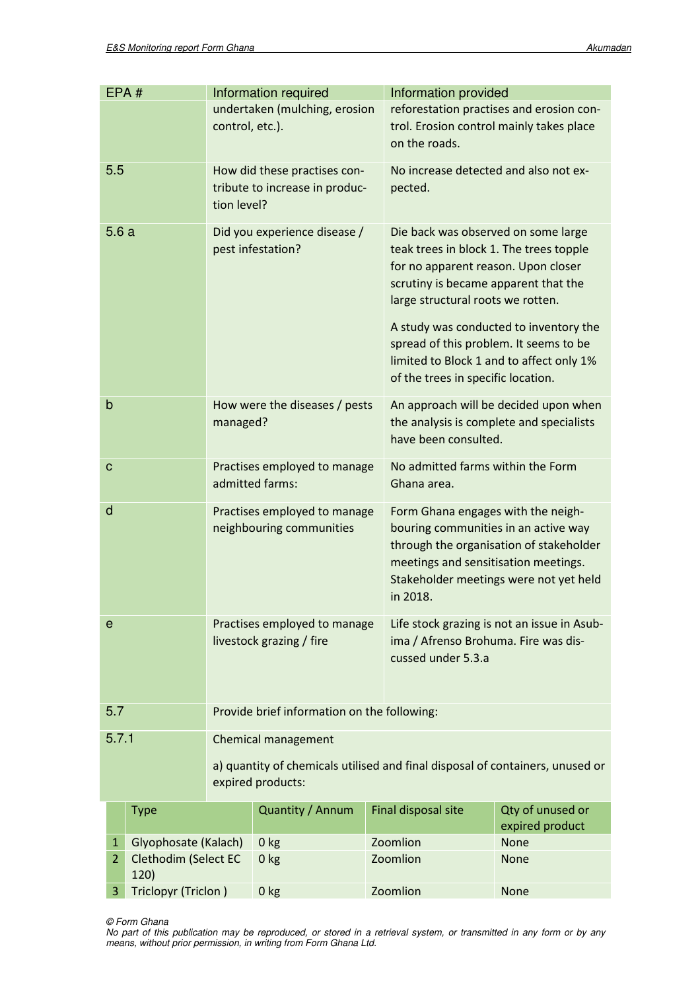|             |                                | EPA#                                         |                                    | Information required                                                          |                                    | Information provided                                                            |                                       |  |
|-------------|--------------------------------|----------------------------------------------|------------------------------------|-------------------------------------------------------------------------------|------------------------------------|---------------------------------------------------------------------------------|---------------------------------------|--|
|             |                                |                                              |                                    | undertaken (mulching, erosion                                                 |                                    | reforestation practises and erosion con-                                        |                                       |  |
|             |                                |                                              | control, etc.).                    |                                                                               |                                    | trol. Erosion control mainly takes place                                        |                                       |  |
|             |                                |                                              |                                    |                                                                               |                                    | on the roads.                                                                   |                                       |  |
|             | 5.5                            |                                              |                                    | How did these practises con-                                                  |                                    | No increase detected and also not ex-                                           |                                       |  |
|             |                                |                                              |                                    | tribute to increase in produc-                                                |                                    | pected.                                                                         |                                       |  |
|             |                                |                                              | tion level?                        |                                                                               |                                    |                                                                                 |                                       |  |
|             | 5.6a                           |                                              |                                    | Did you experience disease /                                                  |                                    | Die back was observed on some large                                             |                                       |  |
|             |                                |                                              |                                    | pest infestation?                                                             |                                    | teak trees in block 1. The trees topple                                         |                                       |  |
|             |                                |                                              |                                    |                                                                               |                                    | for no apparent reason. Upon closer                                             |                                       |  |
|             |                                |                                              |                                    |                                                                               |                                    | scrutiny is became apparent that the                                            |                                       |  |
|             |                                |                                              |                                    |                                                                               |                                    | large structural roots we rotten.                                               |                                       |  |
|             |                                |                                              |                                    |                                                                               |                                    | A study was conducted to inventory the                                          |                                       |  |
|             |                                |                                              |                                    |                                                                               |                                    | spread of this problem. It seems to be                                          |                                       |  |
|             |                                |                                              |                                    |                                                                               |                                    | limited to Block 1 and to affect only 1%                                        |                                       |  |
|             |                                |                                              |                                    |                                                                               | of the trees in specific location. |                                                                                 |                                       |  |
| $\mathsf b$ |                                |                                              |                                    | How were the diseases / pests                                                 |                                    |                                                                                 | An approach will be decided upon when |  |
|             |                                |                                              | managed?                           |                                                                               |                                    | the analysis is complete and specialists                                        |                                       |  |
|             |                                |                                              |                                    |                                                                               |                                    | have been consulted.                                                            |                                       |  |
| $\mathbf C$ |                                |                                              |                                    | Practises employed to manage                                                  |                                    | No admitted farms within the Form                                               |                                       |  |
|             |                                |                                              |                                    | admitted farms:                                                               |                                    | Ghana area.                                                                     |                                       |  |
| d           |                                |                                              |                                    | Practises employed to manage                                                  |                                    | Form Ghana engages with the neigh-                                              |                                       |  |
|             |                                |                                              |                                    | neighbouring communities                                                      |                                    | bouring communities in an active way                                            |                                       |  |
|             |                                |                                              |                                    |                                                                               |                                    | through the organisation of stakeholder<br>meetings and sensitisation meetings. |                                       |  |
|             |                                |                                              |                                    |                                                                               |                                    | Stakeholder meetings were not yet held                                          |                                       |  |
|             |                                |                                              |                                    |                                                                               |                                    | in 2018.                                                                        |                                       |  |
| е           |                                |                                              |                                    | Practises employed to manage                                                  |                                    | Life stock grazing is not an issue in Asub-                                     |                                       |  |
|             |                                |                                              |                                    | livestock grazing / fire                                                      |                                    | ima / Afrenso Brohuma. Fire was dis-                                            |                                       |  |
|             |                                |                                              |                                    |                                                                               |                                    | cussed under 5.3.a                                                              |                                       |  |
|             |                                |                                              |                                    |                                                                               |                                    |                                                                                 |                                       |  |
|             |                                |                                              |                                    |                                                                               |                                    |                                                                                 |                                       |  |
|             | 5.7                            |                                              |                                    | Provide brief information on the following:                                   |                                    |                                                                                 |                                       |  |
|             | 5.7.1                          |                                              |                                    | <b>Chemical management</b>                                                    |                                    |                                                                                 |                                       |  |
|             |                                |                                              |                                    | a) quantity of chemicals utilised and final disposal of containers, unused or |                                    |                                                                                 |                                       |  |
|             |                                |                                              |                                    | expired products:                                                             |                                    |                                                                                 |                                       |  |
|             |                                | <b>Type</b>                                  |                                    | Quantity / Annum                                                              |                                    | Final disposal site                                                             | Qty of unused or                      |  |
|             |                                |                                              |                                    |                                                                               |                                    |                                                                                 | expired product                       |  |
|             | $\mathbf{1}$<br>$\overline{2}$ | Glyophosate (Kalach)<br>Clethodim (Select EC | 0 <sub>kg</sub><br>0 <sub>kg</sub> |                                                                               |                                    | Zoomlion<br>None<br>Zoomlion<br><b>None</b>                                     |                                       |  |
|             |                                | 120)                                         |                                    |                                                                               |                                    |                                                                                 |                                       |  |
|             | 3                              | Triclopyr (Triclon)                          |                                    | 0 <sub>kg</sub>                                                               |                                    | Zoomlion                                                                        | None                                  |  |

© Form Ghana

No part of this publication may be reproduced, or stored in a retrieval system, or transmitted in any form or by any means, without prior permission, in writing from Form Ghana Ltd.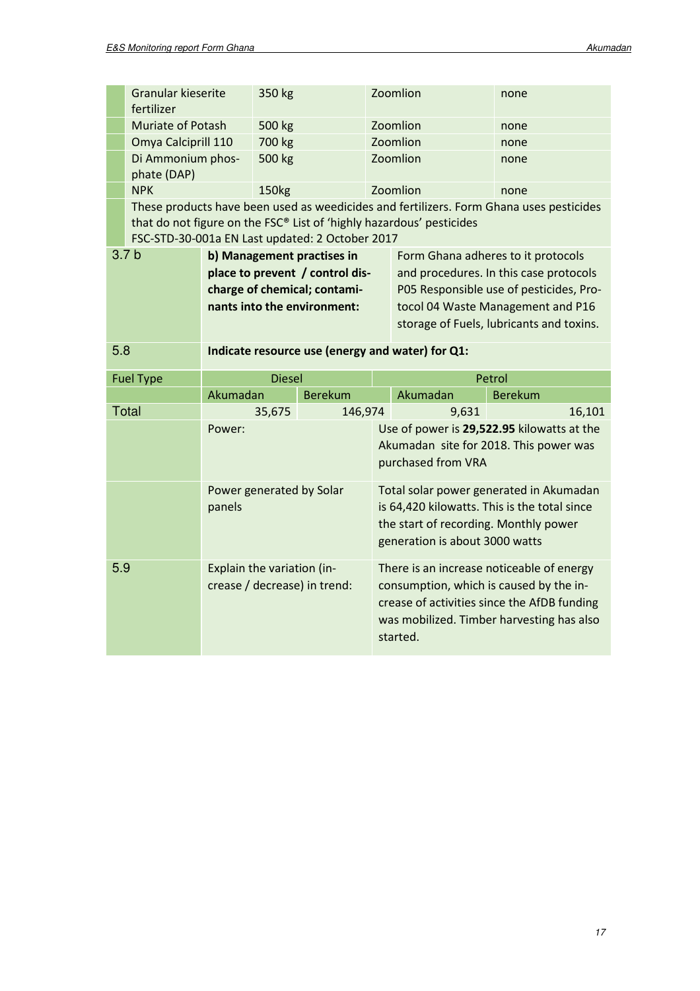|     | <b>Granular kieserite</b><br>fertilizer                                                                                                                                                                            |                                                  | 350 kg        |                                                                                                                              |  | Zoomlion                                                                | none                                                                                                                                                               |
|-----|--------------------------------------------------------------------------------------------------------------------------------------------------------------------------------------------------------------------|--------------------------------------------------|---------------|------------------------------------------------------------------------------------------------------------------------------|--|-------------------------------------------------------------------------|--------------------------------------------------------------------------------------------------------------------------------------------------------------------|
|     | Muriate of Potash                                                                                                                                                                                                  |                                                  | 500 kg        |                                                                                                                              |  | Zoomlion                                                                | none                                                                                                                                                               |
|     | Omya Calciprill 110                                                                                                                                                                                                |                                                  | 700 kg        |                                                                                                                              |  | Zoomlion                                                                | none                                                                                                                                                               |
|     | Di Ammonium phos-<br>phate (DAP)                                                                                                                                                                                   |                                                  | 500 kg        |                                                                                                                              |  | Zoomlion                                                                | none                                                                                                                                                               |
|     | <b>NPK</b>                                                                                                                                                                                                         |                                                  | 150kg         |                                                                                                                              |  | Zoomlion                                                                | none                                                                                                                                                               |
|     | These products have been used as weedicides and fertilizers. Form Ghana uses pesticides<br>that do not figure on the FSC® List of 'highly hazardous' pesticides<br>FSC-STD-30-001a EN Last updated: 2 October 2017 |                                                  |               |                                                                                                                              |  |                                                                         |                                                                                                                                                                    |
|     | 3.7 <sub>b</sub>                                                                                                                                                                                                   |                                                  |               | b) Management practises in<br>place to prevent / control dis-<br>charge of chemical; contami-<br>nants into the environment: |  | Form Ghana adheres to it protocols                                      | and procedures. In this case protocols<br>P05 Responsible use of pesticides, Pro-<br>tocol 04 Waste Management and P16<br>storage of Fuels, lubricants and toxins. |
| 5.8 |                                                                                                                                                                                                                    | Indicate resource use (energy and water) for Q1: |               |                                                                                                                              |  |                                                                         |                                                                                                                                                                    |
|     |                                                                                                                                                                                                                    |                                                  |               |                                                                                                                              |  |                                                                         |                                                                                                                                                                    |
|     | <b>Fuel Type</b>                                                                                                                                                                                                   |                                                  | <b>Diesel</b> |                                                                                                                              |  |                                                                         | Petrol                                                                                                                                                             |
|     |                                                                                                                                                                                                                    | Akumadan                                         |               | <b>Berekum</b>                                                                                                               |  | Akumadan                                                                | <b>Berekum</b>                                                                                                                                                     |
|     | Total                                                                                                                                                                                                              |                                                  | 35,675        | 146,974                                                                                                                      |  | 9,631                                                                   | 16,101                                                                                                                                                             |
|     |                                                                                                                                                                                                                    | Power:                                           |               |                                                                                                                              |  | purchased from VRA                                                      | Use of power is 29,522.95 kilowatts at the<br>Akumadan site for 2018. This power was                                                                               |
|     |                                                                                                                                                                                                                    | Power generated by Solar<br>panels               |               |                                                                                                                              |  | the start of recording. Monthly power<br>generation is about 3000 watts | Total solar power generated in Akumadan<br>is 64,420 kilowatts. This is the total since                                                                            |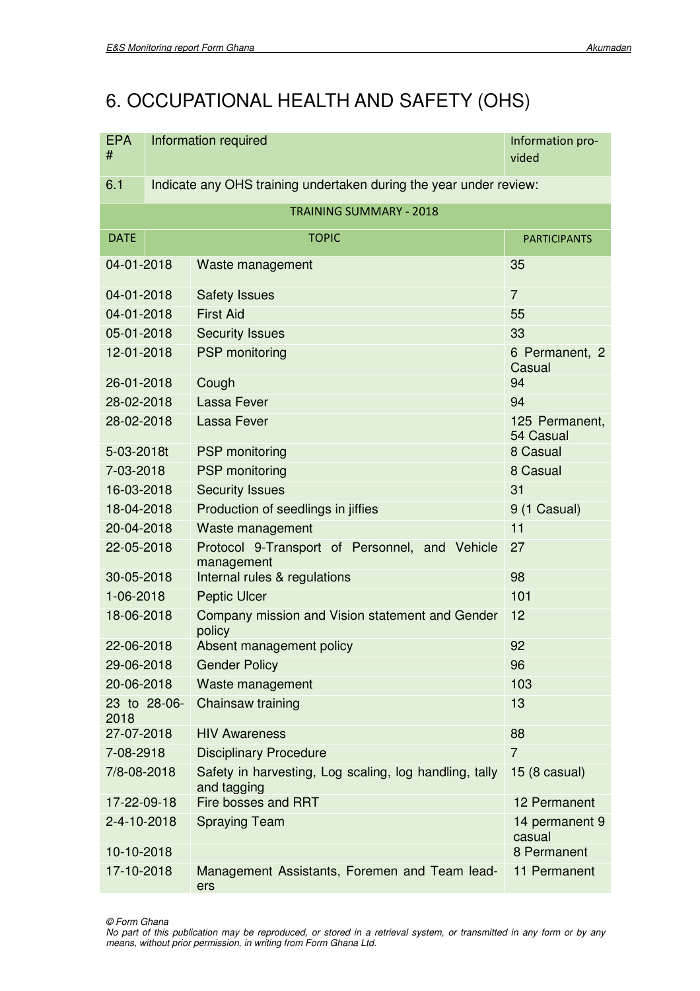# 6. OCCUPATIONAL HEALTH AND SAFETY (OHS)

| <b>EPA</b><br># |                                                                    | Information required                                                  | Information pro-<br>vided   |  |  |  |  |  |
|-----------------|--------------------------------------------------------------------|-----------------------------------------------------------------------|-----------------------------|--|--|--|--|--|
| 6.1             | Indicate any OHS training undertaken during the year under review: |                                                                       |                             |  |  |  |  |  |
|                 | <b>TRAINING SUMMARY - 2018</b>                                     |                                                                       |                             |  |  |  |  |  |
| <b>DATE</b>     |                                                                    | <b>TOPIC</b>                                                          | <b>PARTICIPANTS</b>         |  |  |  |  |  |
| 04-01-2018      |                                                                    | Waste management                                                      | 35                          |  |  |  |  |  |
| 04-01-2018      |                                                                    | <b>Safety Issues</b>                                                  | $\overline{7}$              |  |  |  |  |  |
| 04-01-2018      |                                                                    | <b>First Aid</b>                                                      | 55                          |  |  |  |  |  |
| 05-01-2018      |                                                                    | <b>Security Issues</b>                                                | 33                          |  |  |  |  |  |
| 12-01-2018      |                                                                    | <b>PSP</b> monitoring                                                 | 6 Permanent, 2<br>Casual    |  |  |  |  |  |
| 26-01-2018      |                                                                    | Cough                                                                 | 94                          |  |  |  |  |  |
| 28-02-2018      |                                                                    | Lassa Fever                                                           | 94                          |  |  |  |  |  |
| 28-02-2018      |                                                                    | Lassa Fever                                                           | 125 Permanent,<br>54 Casual |  |  |  |  |  |
| 5-03-2018t      |                                                                    | <b>PSP</b> monitoring                                                 | 8 Casual                    |  |  |  |  |  |
| 7-03-2018       |                                                                    | <b>PSP</b> monitoring                                                 | 8 Casual                    |  |  |  |  |  |
| 16-03-2018      |                                                                    | <b>Security Issues</b>                                                | 31                          |  |  |  |  |  |
| 18-04-2018      |                                                                    | Production of seedlings in jiffies                                    | 9 (1 Casual)                |  |  |  |  |  |
| 20-04-2018      |                                                                    | Waste management                                                      | 11                          |  |  |  |  |  |
| 22-05-2018      |                                                                    | Protocol 9-Transport of Personnel, and Vehicle<br>management          | 27                          |  |  |  |  |  |
| 30-05-2018      |                                                                    | Internal rules & regulations                                          | 98                          |  |  |  |  |  |
| 1-06-2018       |                                                                    | <b>Peptic Ulcer</b>                                                   | 101                         |  |  |  |  |  |
| 18-06-2018      |                                                                    | Company mission and Vision statement and Gender<br>policy             | 12                          |  |  |  |  |  |
| 22-06-2018      |                                                                    | Absent management policy                                              | 92                          |  |  |  |  |  |
| 29-06-2018      |                                                                    | <b>Gender Policy</b>                                                  | 96                          |  |  |  |  |  |
| 20-06-2018      |                                                                    | Waste management                                                      | 103                         |  |  |  |  |  |
| 2018            | 23 to 28-06-                                                       | Chainsaw training                                                     | 13                          |  |  |  |  |  |
| 27-07-2018      |                                                                    | <b>HIV Awareness</b>                                                  | 88                          |  |  |  |  |  |
| 7-08-2918       |                                                                    | <b>Disciplinary Procedure</b>                                         | $\overline{7}$              |  |  |  |  |  |
| 7/8-08-2018     |                                                                    | Safety in harvesting, Log scaling, log handling, tally<br>and tagging | $15(8 \text{ casual})$      |  |  |  |  |  |
| 17-22-09-18     |                                                                    | Fire bosses and RRT                                                   | 12 Permanent                |  |  |  |  |  |
| 2-4-10-2018     |                                                                    | <b>Spraying Team</b>                                                  | 14 permanent 9<br>casual    |  |  |  |  |  |
| 10-10-2018      |                                                                    |                                                                       | 8 Permanent                 |  |  |  |  |  |
| 17-10-2018      |                                                                    | Management Assistants, Foremen and Team lead-<br>ers                  | 11 Permanent                |  |  |  |  |  |

© Form Ghana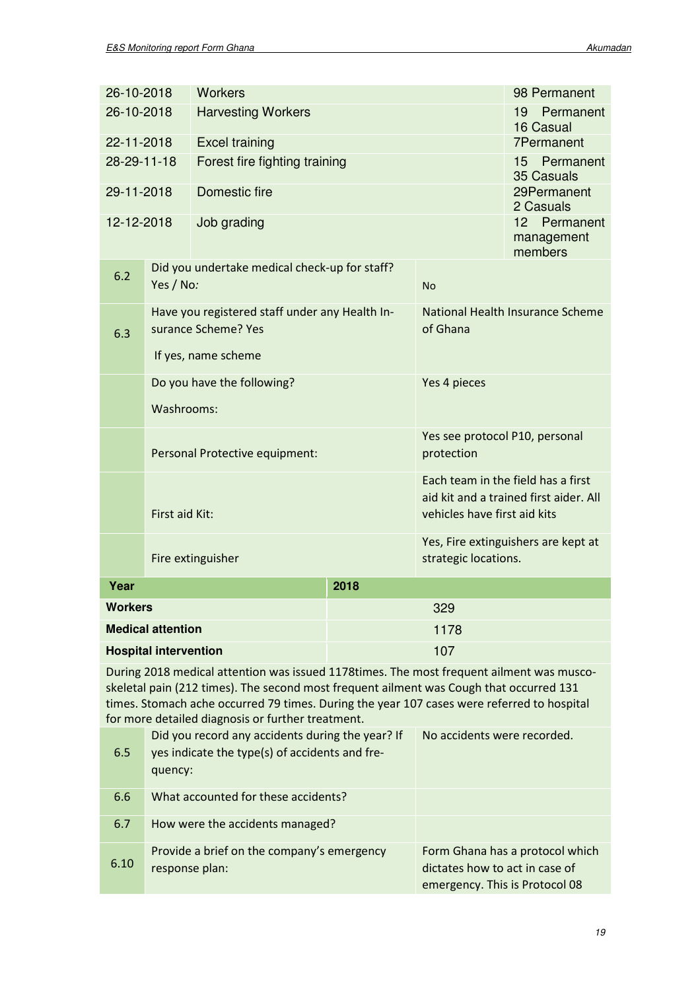| 26-10-2018                              |                          | <b>Workers</b>                                                        |                                                             |                                                                                                              | 98 Permanent                                          |  |
|-----------------------------------------|--------------------------|-----------------------------------------------------------------------|-------------------------------------------------------------|--------------------------------------------------------------------------------------------------------------|-------------------------------------------------------|--|
| 26-10-2018<br><b>Harvesting Workers</b> |                          |                                                                       |                                                             |                                                                                                              | Permanent<br>19<br>16 Casual                          |  |
| 22-11-2018                              |                          | <b>Excel training</b>                                                 |                                                             |                                                                                                              | <b>7Permanent</b>                                     |  |
| 28-29-11-18                             |                          | Forest fire fighting training                                         |                                                             |                                                                                                              | Permanent<br>15<br><b>35 Casuals</b>                  |  |
| 29-11-2018                              |                          | Domestic fire                                                         |                                                             |                                                                                                              | 29Permanent<br>2 Casuals                              |  |
| 12-12-2018                              |                          | Job grading                                                           |                                                             |                                                                                                              | 12 <sup>7</sup><br>Permanent<br>management<br>members |  |
| 6.2                                     | Yes / No:                | Did you undertake medical check-up for staff?                         |                                                             | <b>No</b>                                                                                                    |                                                       |  |
| 6.3                                     |                          | Have you registered staff under any Health In-<br>surance Scheme? Yes |                                                             | of Ghana                                                                                                     | National Health Insurance Scheme                      |  |
|                                         |                          | If yes, name scheme                                                   |                                                             |                                                                                                              |                                                       |  |
|                                         |                          | Do you have the following?                                            |                                                             | Yes 4 pieces                                                                                                 |                                                       |  |
|                                         | Washrooms:               |                                                                       |                                                             |                                                                                                              |                                                       |  |
|                                         |                          | Personal Protective equipment:                                        |                                                             | Yes see protocol P10, personal<br>protection                                                                 |                                                       |  |
|                                         | First aid Kit:           |                                                                       |                                                             | Each team in the field has a first<br>aid kit and a trained first aider. All<br>vehicles have first aid kits |                                                       |  |
|                                         |                          | Fire extinguisher                                                     | Yes, Fire extinguishers are kept at<br>strategic locations. |                                                                                                              |                                                       |  |
| Year                                    |                          |                                                                       | 2018                                                        |                                                                                                              |                                                       |  |
| <b>Workers</b>                          |                          |                                                                       |                                                             | 329                                                                                                          |                                                       |  |
|                                         | <b>Medical attention</b> |                                                                       |                                                             | 1178                                                                                                         |                                                       |  |
| <b>Hospital intervention</b>            |                          |                                                                       | 107                                                         |                                                                                                              |                                                       |  |

During 2018 medical attention was issued 1178times. The most frequent ailment was muscoskeletal pain (212 times). The second most frequent ailment was Cough that occurred 131 times. Stomach ache occurred 79 times. During the year 107 cases were referred to hospital for more detailed diagnosis or further treatment.

| 6.5  | Did you record any accidents during the year? If<br>yes indicate the type(s) of accidents and fre-<br>quency: | No accidents were recorded.                                                                         |
|------|---------------------------------------------------------------------------------------------------------------|-----------------------------------------------------------------------------------------------------|
| 6.6  | What accounted for these accidents?                                                                           |                                                                                                     |
| 6.7  | How were the accidents managed?                                                                               |                                                                                                     |
| 6.10 | Provide a brief on the company's emergency<br>response plan:                                                  | Form Ghana has a protocol which<br>dictates how to act in case of<br>emergency. This is Protocol 08 |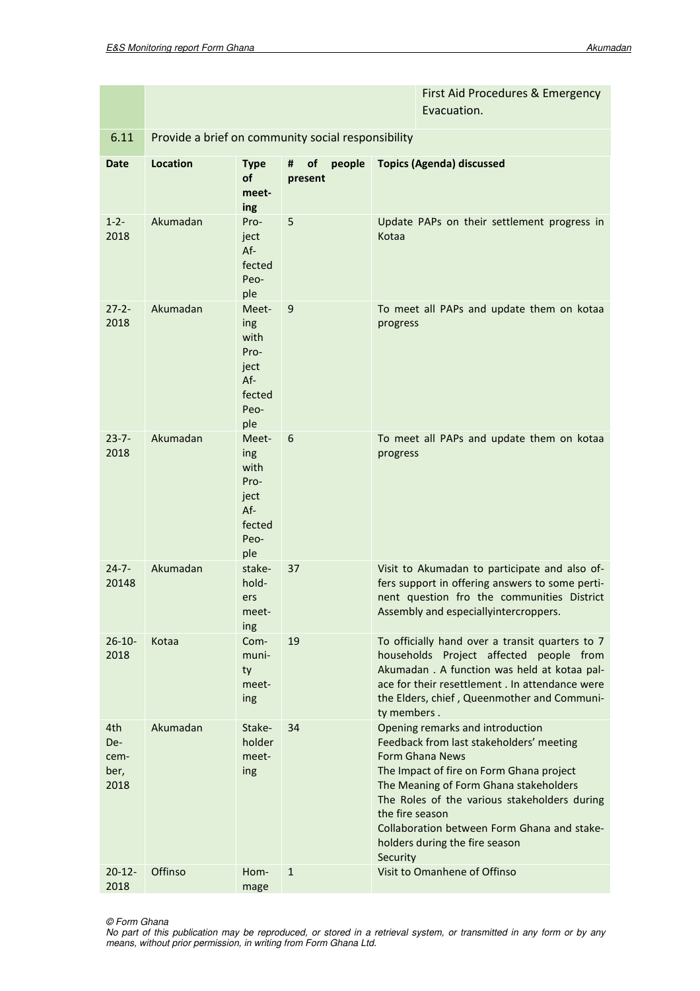|                                    |                 |                                                                         |                                                    | First Aid Procedures & Emergency                                                                                                                                                                                                                                                                                                                             |  |
|------------------------------------|-----------------|-------------------------------------------------------------------------|----------------------------------------------------|--------------------------------------------------------------------------------------------------------------------------------------------------------------------------------------------------------------------------------------------------------------------------------------------------------------------------------------------------------------|--|
|                                    |                 |                                                                         |                                                    | Evacuation.                                                                                                                                                                                                                                                                                                                                                  |  |
| 6.11                               |                 |                                                                         | Provide a brief on community social responsibility |                                                                                                                                                                                                                                                                                                                                                              |  |
| <b>Date</b>                        | <b>Location</b> | <b>Type</b><br>of<br>meet-<br>ing                                       | of<br>people<br>#<br>present                       | <b>Topics (Agenda) discussed</b>                                                                                                                                                                                                                                                                                                                             |  |
| $1 - 2 -$<br>2018                  | Akumadan        | Pro-<br>ject<br>$Af -$<br>fected<br>Peo-<br>ple                         | 5                                                  | Update PAPs on their settlement progress in<br>Kotaa                                                                                                                                                                                                                                                                                                         |  |
| $27 - 2 -$<br>2018                 | Akumadan        | Meet-<br>ing<br>with<br>Pro-<br>ject<br>Af-<br>fected<br>Peo-<br>ple    | 9                                                  | To meet all PAPs and update them on kotaa<br>progress                                                                                                                                                                                                                                                                                                        |  |
| $23 - 7 -$<br>2018                 | Akumadan        | Meet-<br>ing<br>with<br>Pro-<br>ject<br>$Af -$<br>fected<br>Peo-<br>ple | 6                                                  | To meet all PAPs and update them on kotaa<br>progress                                                                                                                                                                                                                                                                                                        |  |
| $24 - 7 -$<br>20148                | Akumadan        | stake-<br>hold-<br>ers<br>meet-<br>ing                                  | 37                                                 | Visit to Akumadan to participate and also of-<br>fers support in offering answers to some perti-<br>nent question fro the communities District<br>Assembly and especiallyintercroppers.                                                                                                                                                                      |  |
| $26 - 10 -$<br>2018                | Kotaa           | Com-<br>muni-<br>ty<br>meet-<br>ing                                     | 19                                                 | To officially hand over a transit quarters to 7<br>households Project affected people from<br>Akumadan . A function was held at kotaa pal-<br>ace for their resettlement . In attendance were<br>the Elders, chief, Queenmother and Communi-<br>ty members.                                                                                                  |  |
| 4th<br>De-<br>cem-<br>ber,<br>2018 | Akumadan        | Stake-<br>holder<br>meet-<br>ing                                        | 34                                                 | Opening remarks and introduction<br>Feedback from last stakeholders' meeting<br><b>Form Ghana News</b><br>The Impact of fire on Form Ghana project<br>The Meaning of Form Ghana stakeholders<br>The Roles of the various stakeholders during<br>the fire season<br>Collaboration between Form Ghana and stake-<br>holders during the fire season<br>Security |  |
| $20 - 12 -$<br>2018                | Offinso         | Hom-<br>mage                                                            | $\mathbf{1}$                                       | Visit to Omanhene of Offinso                                                                                                                                                                                                                                                                                                                                 |  |

© Form Ghana

No part of this publication may be reproduced, or stored in a retrieval system, or transmitted in any form or by any means, without prior permission, in writing from Form Ghana Ltd.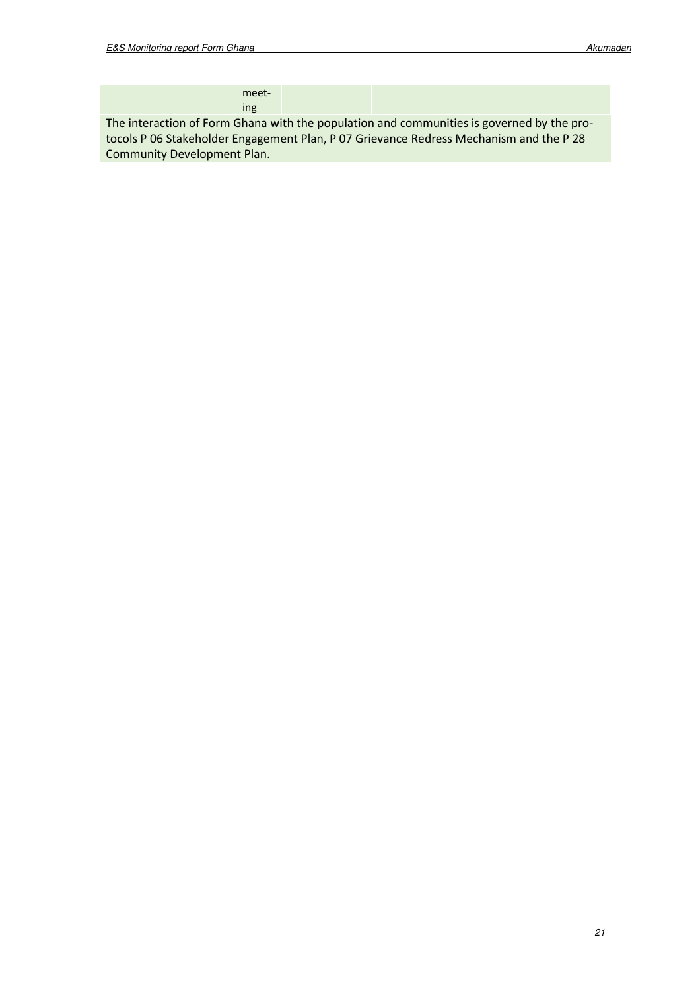|                                                                                           |  | meet- |  |  |  |  |  |
|-------------------------------------------------------------------------------------------|--|-------|--|--|--|--|--|
|                                                                                           |  | ing   |  |  |  |  |  |
| The interaction of Form Ghana with the population and communities is governed by the pro- |  |       |  |  |  |  |  |
| tocols P 06 Stakeholder Engagement Plan, P 07 Grievance Redress Mechanism and the P 28    |  |       |  |  |  |  |  |

Community Development Plan.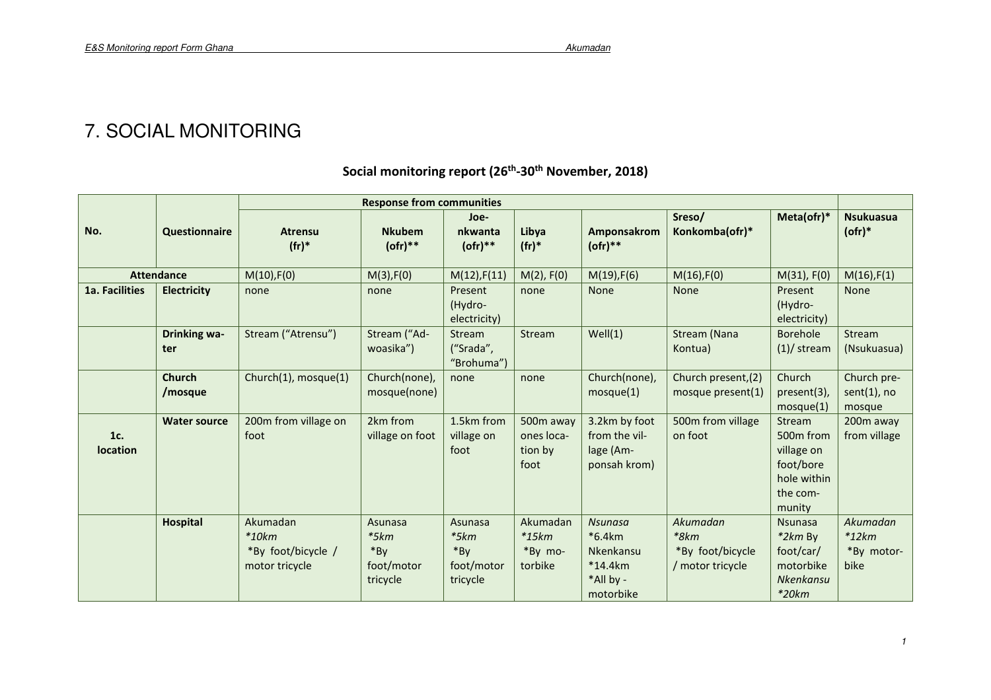# 7. SOCIAL MONITORING

|                        |                            |                                                             | <b>Response from communities</b>                   |                                                       |                                            |                                                                            |                                                            |                                                                                                 |                                           |
|------------------------|----------------------------|-------------------------------------------------------------|----------------------------------------------------|-------------------------------------------------------|--------------------------------------------|----------------------------------------------------------------------------|------------------------------------------------------------|-------------------------------------------------------------------------------------------------|-------------------------------------------|
| No.                    | Questionnaire              | <b>Atrensu</b><br>$(fr)^*$                                  | <b>Nkubem</b><br>$(ofr)$ **                        | Joe-<br>nkwanta<br>$(ofr)$ **                         | Libya<br>$(fr)^*$                          | Amponsakrom<br>$(ofr)$ **                                                  | Sreso/<br>Konkomba(ofr)*                                   | Meta(ofr)*                                                                                      | <b>Nsukuasua</b><br>$($ ofr $)*$          |
|                        | <b>Attendance</b>          | M(10), F(0)                                                 | M(3), F(0)                                         | M(12), F(11)                                          | $M(2)$ , $F(0)$                            | M(19), F(6)                                                                | M(16), F(0)                                                | $M(31)$ , $F(0)$                                                                                | M(16), F(1)                               |
| 1a. Facilities         | <b>Electricity</b>         | none                                                        | none                                               | Present<br>(Hydro-<br>electricity)                    | none                                       | <b>None</b>                                                                | None                                                       | Present<br>(Hydro-<br>electricity)                                                              | None                                      |
|                        | <b>Drinking wa-</b><br>ter | Stream ("Atrensu")                                          | Stream ("Ad-<br>woasika")                          | Stream<br>("Srada",<br>"Brohuma")                     | Stream                                     | Well(1)                                                                    | Stream (Nana<br>Kontua)                                    | <b>Borehole</b><br>$(1)/$ stream                                                                | <b>Stream</b><br>(Nsukuasua)              |
|                        | <b>Church</b><br>/mosque   | Church(1), mosque(1)                                        | Church(none),<br>mosque(none)                      | none                                                  | none                                       | Church(none),<br>mosque(1)                                                 | Church present, (2)<br>mosque present $(1)$                | Church<br>$present(3)$ ,<br>mosque(1)                                                           | Church pre-<br>$sent(1)$ , no<br>mosque   |
| 1c.<br><b>location</b> | <b>Water source</b>        | 200m from village on<br>foot                                | 2km from<br>village on foot                        | 1.5km from<br>village on<br>foot                      | 500m away<br>ones loca-<br>tion by<br>foot | 3.2km by foot<br>from the vil-<br>lage (Am-<br>ponsah krom)                | 500m from village<br>on foot                               | Stream<br>500 <sub>m</sub> from<br>village on<br>foot/bore<br>hole within<br>the com-<br>munity | 200m away<br>from village                 |
|                        | Hospital                   | Akumadan<br>$*10km$<br>*By foot/bicycle /<br>motor tricycle | Asunasa<br>$*5km$<br>*By<br>foot/motor<br>tricycle | Asunasa<br>$*5km$<br>$*$ By<br>foot/motor<br>tricycle | Akumadan<br>$*15km$<br>*By mo-<br>torbike  | <b>Nsunasa</b><br>*6.4km<br>Nkenkansu<br>*14.4km<br>*All by -<br>motorbike | Akumadan<br>$*8km$<br>*By foot/bicycle<br>/ motor tricycle | <b>Nsunasa</b><br>$*2km$ By<br>foot/car/<br>motorbike<br><b>Nkenkansu</b><br>$*20km$            | Akumadan<br>$*12km$<br>*By motor-<br>bike |

#### **Social monitoring report (26th-30th November, 2018)**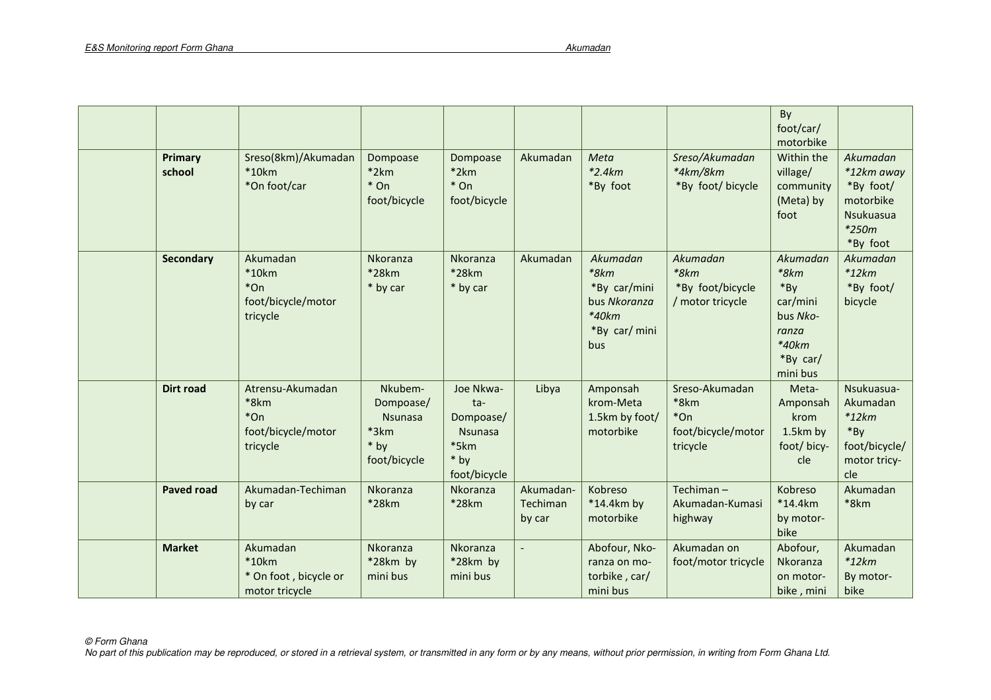| <b>Primary</b><br>school | Sreso(8km)/Akumadan<br>$*10km$<br>*On foot/car                    | Dompoase<br>$*2km$<br>* On<br>foot/bicycle                             | Dompoase<br>$*2km$<br>* On<br>foot/bicycle                                      | Akumadan                        | Meta<br>$*2.4km$<br>*By foot                                                          | Sreso/Akumadan<br>*4km/8km<br>*By foot/bicycle                     | By<br>foot/car/<br>motorbike<br>Within the<br>village/<br>community<br>(Meta) by<br>foot       | Akumadan<br>*12km away<br>*By foot/<br>motorbike<br>Nsukuasua<br>$*250m$<br>*By foot |
|--------------------------|-------------------------------------------------------------------|------------------------------------------------------------------------|---------------------------------------------------------------------------------|---------------------------------|---------------------------------------------------------------------------------------|--------------------------------------------------------------------|------------------------------------------------------------------------------------------------|--------------------------------------------------------------------------------------|
| <b>Secondary</b>         | Akumadan<br>$*10km$<br>*On<br>foot/bicycle/motor<br>tricycle      | Nkoranza<br>$*28km$<br>* by car                                        | Nkoranza<br>$*28km$<br>* by car                                                 | Akumadan                        | Akumadan<br>$*8km$<br>*By car/mini<br>bus Nkoranza<br>$*40km$<br>*By car/ mini<br>bus | Akumadan<br>$*8km$<br>*By foot/bicycle<br>/ motor tricycle         | Akumadan<br>$*8km$<br>$*$ By<br>car/mini<br>bus Nko-<br>ranza<br>*40km<br>*By car/<br>mini bus | Akumadan<br>$*12km$<br>*By foot/<br>bicycle                                          |
| <b>Dirt road</b>         | Atrensu-Akumadan<br>*8km<br>*On<br>foot/bicycle/motor<br>tricycle | Nkubem-<br>Dompoase/<br><b>Nsunasa</b><br>*3km<br>* by<br>foot/bicycle | Joe Nkwa-<br>ta-<br>Dompoase/<br><b>Nsunasa</b><br>*5km<br>* by<br>foot/bicycle | Libya                           | Amponsah<br>krom-Meta<br>1.5km by foot/<br>motorbike                                  | Sreso-Akumadan<br>*8km<br>$*$ On<br>foot/bicycle/motor<br>tricycle | Meta-<br>Amponsah<br>krom<br>1.5km by<br>foot/bicy-<br>cle                                     | Nsukuasua-<br>Akumadan<br>$*12km$<br>*By<br>foot/bicycle/<br>motor tricy-<br>cle     |
| <b>Paved road</b>        | Akumadan-Techiman<br>by car                                       | Nkoranza<br>*28km                                                      | Nkoranza<br>*28km                                                               | Akumadan-<br>Techiman<br>by car | Kobreso<br>$*14.4km$ by<br>motorbike                                                  | Techiman $-$<br>Akumadan-Kumasi<br>highway                         | Kobreso<br>$*14.4km$<br>by motor-<br>bike                                                      | Akumadan<br>$*8km$                                                                   |
| <b>Market</b>            | Akumadan<br>$*10km$<br>* On foot, bicycle or<br>motor tricycle    | Nkoranza<br>*28km by<br>mini bus                                       | <b>Nkoranza</b><br>*28km by<br>mini bus                                         |                                 | Abofour, Nko-<br>ranza on mo-<br>torbike, car/<br>mini bus                            | Akumadan on<br>foot/motor tricycle                                 | Abofour,<br>Nkoranza<br>on motor-<br>bike, mini                                                | Akumadan<br>$*12km$<br>By motor-<br>bike                                             |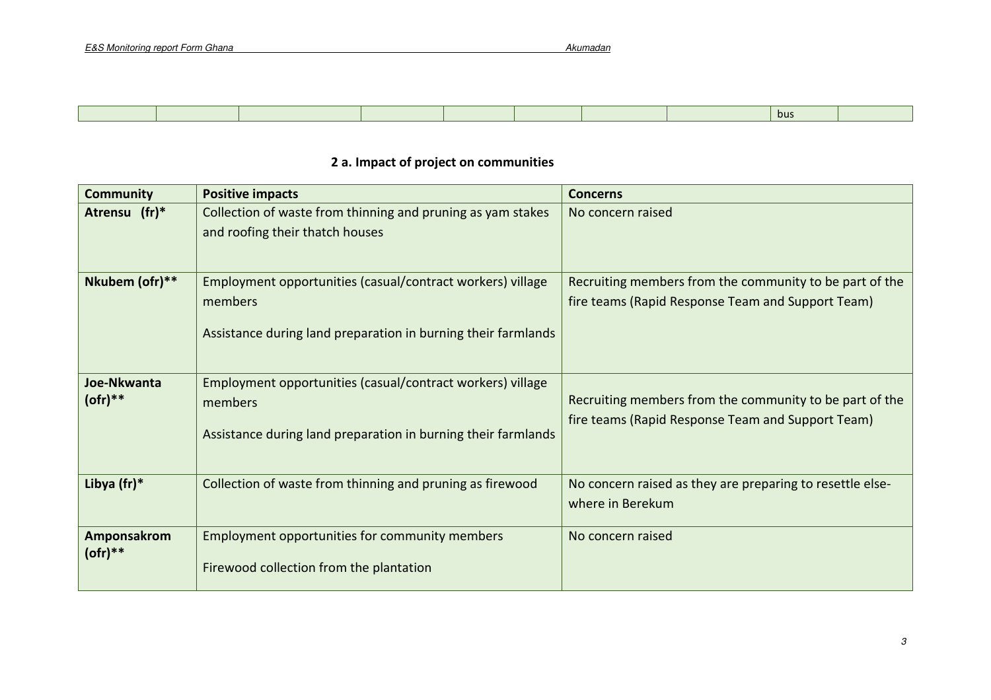|  |  |  |  | bus |  |
|--|--|--|--|-----|--|
|  |  |  |  |     |  |

#### **2 a. Impact of project on communities**

| <b>Community</b>             | <b>Positive impacts</b>                                                                                                                | <b>Concerns</b>                                                                                              |
|------------------------------|----------------------------------------------------------------------------------------------------------------------------------------|--------------------------------------------------------------------------------------------------------------|
| Atrensu (fr)*                | Collection of waste from thinning and pruning as yam stakes<br>and roofing their thatch houses                                         | No concern raised                                                                                            |
| Nkubem (ofr)**               | Employment opportunities (casual/contract workers) village<br>members<br>Assistance during land preparation in burning their farmlands | Recruiting members from the community to be part of the<br>fire teams (Rapid Response Team and Support Team) |
| Joe-Nkwanta<br>$($ ofr $)**$ | Employment opportunities (casual/contract workers) village<br>members<br>Assistance during land preparation in burning their farmlands | Recruiting members from the community to be part of the<br>fire teams (Rapid Response Team and Support Team) |
| Libya $(fr)^*$               | Collection of waste from thinning and pruning as firewood                                                                              | No concern raised as they are preparing to resettle else-<br>where in Berekum                                |
| Amponsakrom<br>$(ofr)$ **    | Employment opportunities for community members<br>Firewood collection from the plantation                                              | No concern raised                                                                                            |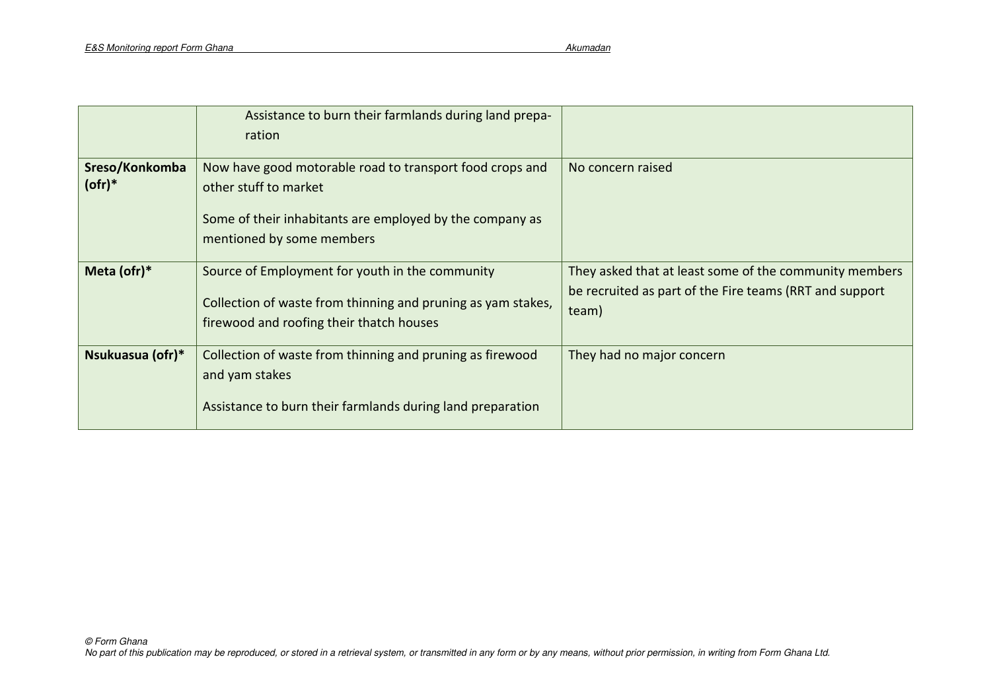|                            | Assistance to burn their farmlands during land prepa-<br>ration                                                                                                            |                                                                                                                            |
|----------------------------|----------------------------------------------------------------------------------------------------------------------------------------------------------------------------|----------------------------------------------------------------------------------------------------------------------------|
| Sreso/Konkomba<br>$(ofr)*$ | Now have good motorable road to transport food crops and<br>other stuff to market<br>Some of their inhabitants are employed by the company as<br>mentioned by some members | No concern raised                                                                                                          |
| Meta (ofr)*                | Source of Employment for youth in the community<br>Collection of waste from thinning and pruning as yam stakes,<br>firewood and roofing their thatch houses                | They asked that at least some of the community members<br>be recruited as part of the Fire teams (RRT and support<br>team) |
| Nsukuasua (ofr)*           | Collection of waste from thinning and pruning as firewood<br>and yam stakes<br>Assistance to burn their farmlands during land preparation                                  | They had no major concern                                                                                                  |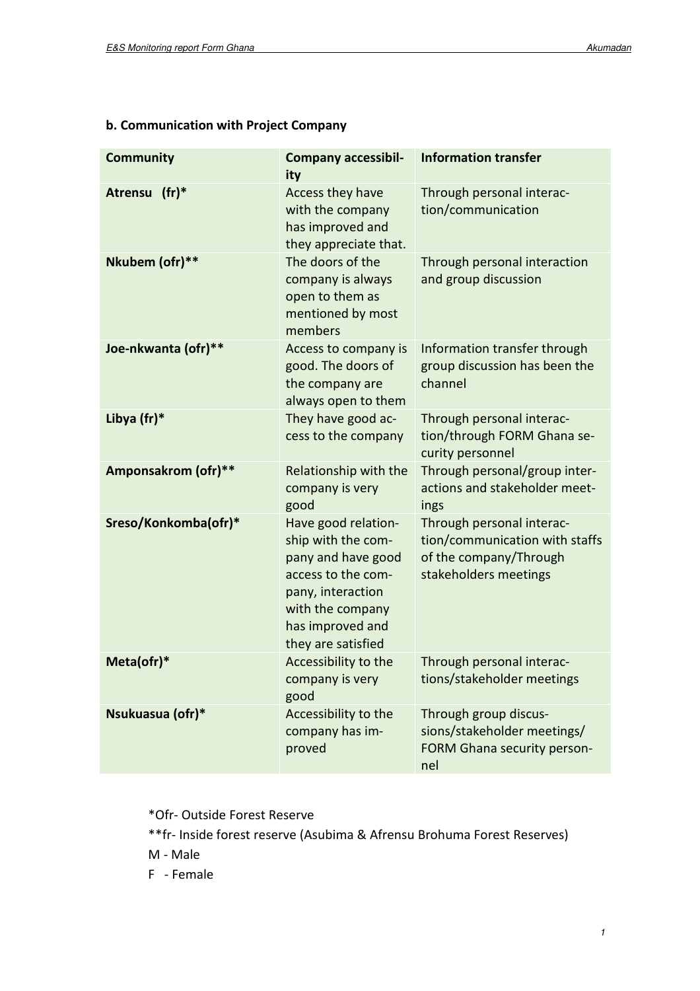#### **b. Communication with Project Company**

| <b>Community</b>           | <b>Company accessibil-</b><br>ity                                                                                                                                        | <b>Information transfer</b>                                                                                    |
|----------------------------|--------------------------------------------------------------------------------------------------------------------------------------------------------------------------|----------------------------------------------------------------------------------------------------------------|
| $(fr)^*$<br><b>Atrensu</b> | Access they have<br>with the company<br>has improved and<br>they appreciate that.                                                                                        | Through personal interac-<br>tion/communication                                                                |
| Nkubem (ofr)**             | The doors of the<br>company is always<br>open to them as<br>mentioned by most<br>members                                                                                 | Through personal interaction<br>and group discussion                                                           |
| Joe-nkwanta (ofr)**        | Access to company is<br>good. The doors of<br>the company are<br>always open to them                                                                                     | Information transfer through<br>group discussion has been the<br>channel                                       |
| Libya (fr)*                | They have good ac-<br>cess to the company                                                                                                                                | Through personal interac-<br>tion/through FORM Ghana se-<br>curity personnel                                   |
| Amponsakrom (ofr)**        | Relationship with the<br>company is very<br>good                                                                                                                         | Through personal/group inter-<br>actions and stakeholder meet-<br>ings                                         |
| Sreso/Konkomba(ofr)*       | Have good relation-<br>ship with the com-<br>pany and have good<br>access to the com-<br>pany, interaction<br>with the company<br>has improved and<br>they are satisfied | Through personal interac-<br>tion/communication with staffs<br>of the company/Through<br>stakeholders meetings |
| Meta(ofr)*                 | Accessibility to the<br>company is very<br>good                                                                                                                          | Through personal interac-<br>tions/stakeholder meetings                                                        |
| Nsukuasua (ofr)*           | Accessibility to the<br>company has im-<br>proved                                                                                                                        | Through group discus-<br>sions/stakeholder meetings/<br>FORM Ghana security person-<br>nel                     |

\*Ofr- Outside Forest Reserve

\*\*fr- Inside forest reserve (Asubima & Afrensu Brohuma Forest Reserves)

M - Male

F - Female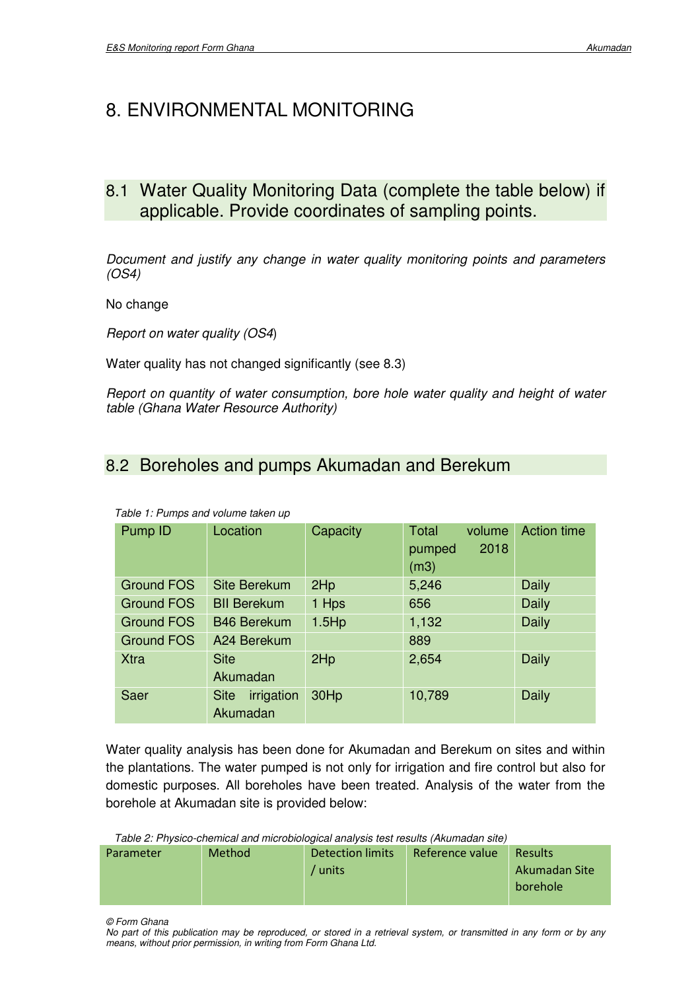## 8. ENVIRONMENTAL MONITORING

### 8.1 Water Quality Monitoring Data (complete the table below) if applicable. Provide coordinates of sampling points.

Document and justify any change in water quality monitoring points and parameters (OS4)

No change

Report on water quality (OS4)

Water quality has not changed significantly (see 8.3)

Report on quantity of water consumption, bore hole water quality and height of water table (Ghana Water Resource Authority)

### 8.2 Boreholes and pumps Akumadan and Berekum

| Pump ID           | Location                              | Capacity | Total<br>volume<br>2018<br>pumped<br>(m3) | <b>Action time</b> |
|-------------------|---------------------------------------|----------|-------------------------------------------|--------------------|
| <b>Ground FOS</b> | <b>Site Berekum</b>                   | 2Hp      | 5,246                                     | Daily              |
| <b>Ground FOS</b> | <b>BII Berekum</b>                    | 1 Hps    | 656                                       | <b>Daily</b>       |
| <b>Ground FOS</b> | <b>B46 Berekum</b>                    | $1.5$ Hp | 1,132                                     | <b>Daily</b>       |
| <b>Ground FOS</b> | A24 Berekum                           |          | 889                                       |                    |
| <b>Xtra</b>       | <b>Site</b><br>Akumadan               | 2Hp      | 2,654                                     | <b>Daily</b>       |
| Saer              | irrigation<br><b>Site</b><br>Akumadan | 30Hp     | 10,789                                    | <b>Daily</b>       |

Table 1: Pumps and volume taken up

Water quality analysis has been done for Akumadan and Berekum on sites and within the plantations. The water pumped is not only for irrigation and fire control but also for domestic purposes. All boreholes have been treated. Analysis of the water from the borehole at Akumadan site is provided below:

Table 2: Physico-chemical and microbiological analysis test results (Akumadan site)

| Parameter | Method | Detection limits | Reference value | <b>Results</b> |  |  |  |
|-----------|--------|------------------|-----------------|----------------|--|--|--|
|           |        | ' units          |                 | Akumadan Site  |  |  |  |
|           |        |                  |                 | borehole       |  |  |  |
|           |        |                  |                 |                |  |  |  |

© Form Ghana

No part of this publication may be reproduced, or stored in a retrieval system, or transmitted in any form or by any means, without prior permission, in writing from Form Ghana Ltd.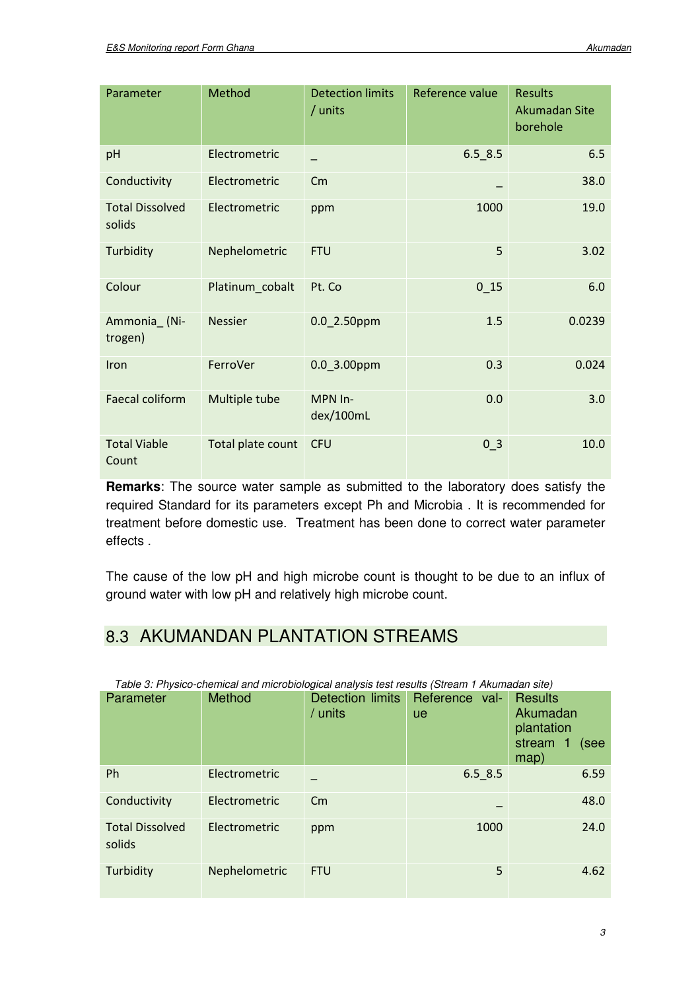| Parameter                        | Method            | <b>Detection limits</b><br>/ units | Reference value | <b>Results</b><br>Akumadan Site<br>borehole |
|----------------------------------|-------------------|------------------------------------|-----------------|---------------------------------------------|
| pH                               | Electrometric     |                                    | $6.5 - 8.5$     | 6.5                                         |
| Conductivity                     | Electrometric     | Cm                                 |                 | 38.0                                        |
| <b>Total Dissolved</b><br>solids | Electrometric     | ppm                                | 1000            | 19.0                                        |
| Turbidity                        | Nephelometric     | <b>FTU</b>                         | 5               | 3.02                                        |
| Colour                           | Platinum_cobalt   | Pt. Co                             | $0_{15}$        | 6.0                                         |
| Ammonia_(Ni-<br>trogen)          | <b>Nessier</b>    | $0.0$ 2.50ppm                      | 1.5             | 0.0239                                      |
| Iron                             | FerroVer          | $0.0$ 3.00ppm                      | 0.3             | 0.024                                       |
| <b>Faecal coliform</b>           | Multiple tube     | MPN In-<br>dex/100mL               | 0.0             | 3.0                                         |
| <b>Total Viable</b><br>Count     | Total plate count | <b>CFU</b>                         | $0_3$           | 10.0                                        |

**Remarks**: The source water sample as submitted to the laboratory does satisfy the required Standard for its parameters except Ph and Microbia . It is recommended for treatment before domestic use. Treatment has been done to correct water parameter effects .

The cause of the low pH and high microbe count is thought to be due to an influx of ground water with low pH and relatively high microbe count.

## 8.3 AKUMANDAN PLANTATION STREAMS

| Table 3: Physico-chemical and microbiological analysis test results (Stream 1 Akumadan site) |  |  |
|----------------------------------------------------------------------------------------------|--|--|
|                                                                                              |  |  |

| Parameter                        | Method        | Detection limits<br>$/$ units | Reference val-<br><b>ue</b> | <b>Results</b><br>Akumadan<br>plantation<br>stream 1<br>(see<br>map) |
|----------------------------------|---------------|-------------------------------|-----------------------------|----------------------------------------------------------------------|
| Ph                               | Electrometric |                               | $6.5 - 8.5$                 | 6.59                                                                 |
| Conductivity                     | Electrometric | Cm                            |                             | 48.0                                                                 |
| <b>Total Dissolved</b><br>solids | Electrometric | ppm                           | 1000                        | 24.0                                                                 |
| Turbidity                        | Nephelometric | <b>FTU</b>                    | 5                           | 4.62                                                                 |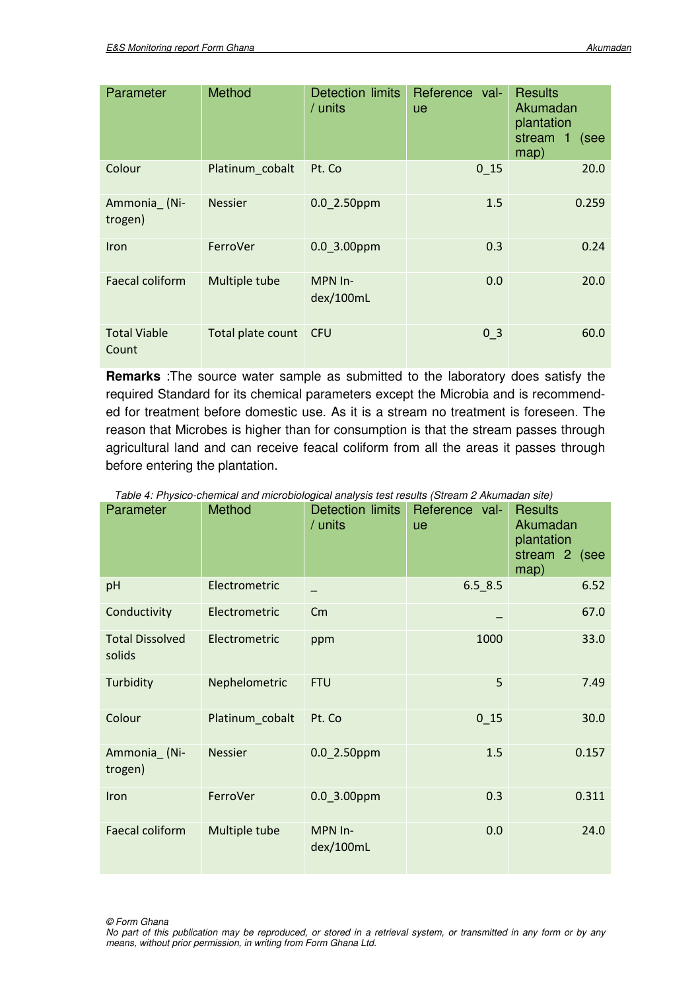| Parameter                    | Method            | <b>Detection limits</b><br>$/$ units | Reference val-<br><b>ue</b> | <b>Results</b><br>Akumadan<br>plantation<br>stream<br>$\mathbf{1}$<br>(see<br>map) |
|------------------------------|-------------------|--------------------------------------|-----------------------------|------------------------------------------------------------------------------------|
| Colour                       | Platinum cobalt   | Pt. Co                               | 015                         | 20.0                                                                               |
| Ammonia_(Ni-<br>trogen)      | <b>Nessier</b>    | 0.0 2.50ppm                          | 1.5                         | 0.259                                                                              |
| Iron                         | FerroVer          | 0.0 3.00ppm                          | 0.3                         | 0.24                                                                               |
| <b>Faecal coliform</b>       | Multiple tube     | MPN In-<br>dex/100mL                 | 0.0                         | 20.0                                                                               |
| <b>Total Viable</b><br>Count | Total plate count | <b>CFU</b>                           | $0-3$                       | 60.0                                                                               |

**Remarks** :The source water sample as submitted to the laboratory does satisfy the required Standard for its chemical parameters except the Microbia and is recommended for treatment before domestic use. As it is a stream no treatment is foreseen. The reason that Microbes is higher than for consumption is that the stream passes through agricultural land and can receive feacal coliform from all the areas it passes through before entering the plantation.

| Parameter                        | Method          | <b>Detection limits</b><br>/ units | Reference val-<br><b>ue</b> | <b>Results</b><br>Akumadan<br>plantation<br>stream 2 (see<br>map) |
|----------------------------------|-----------------|------------------------------------|-----------------------------|-------------------------------------------------------------------|
| pH                               | Electrometric   |                                    | $6.5 - 8.5$                 | 6.52                                                              |
| Conductivity                     | Electrometric   | Cm                                 |                             | 67.0                                                              |
| <b>Total Dissolved</b><br>solids | Electrometric   | ppm                                | 1000                        | 33.0                                                              |
| Turbidity                        | Nephelometric   | <b>FTU</b>                         | 5                           | 7.49                                                              |
| Colour                           | Platinum_cobalt | Pt. Co                             | $0_15$                      | 30.0                                                              |
| Ammonia_(Ni-<br>trogen)          | <b>Nessier</b>  | $0.0$ 2.50ppm                      | 1.5                         | 0.157                                                             |
| Iron                             | FerroVer        | $0.0$ 3.00ppm                      | 0.3                         | 0.311                                                             |
| <b>Faecal coliform</b>           | Multiple tube   | MPN In-<br>dex/100mL               | 0.0                         | 24.0                                                              |

Table 4: Physico-chemical and microbiological analysis test results (Stream 2 Akumadan site)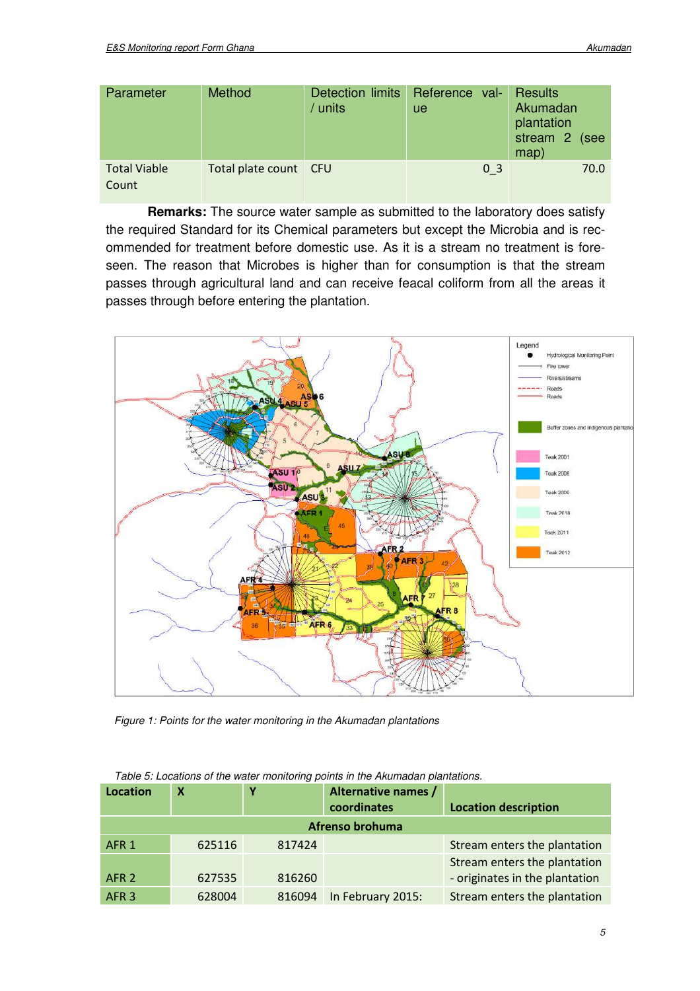| Parameter                    | Method                | $/$ units | Detection limits Reference val-<br>ue | Results<br>Akumadan<br>plantation<br>stream 2 (see<br>map) |
|------------------------------|-----------------------|-----------|---------------------------------------|------------------------------------------------------------|
| <b>Total Viable</b><br>Count | Total plate count CFU |           | 0 <sub>3</sub>                        | 70.0                                                       |

**Remarks:** The source water sample as submitted to the laboratory does satisfy the required Standard for its Chemical parameters but except the Microbia and is recommended for treatment before domestic use. As it is a stream no treatment is foreseen. The reason that Microbes is higher than for consumption is that the stream passes through agricultural land and can receive feacal coliform from all the areas it passes through before entering the plantation.



Figure 1: Points for the water monitoring in the Akumadan plantations

| <b>Location</b>  | х      | Y      | Alternative names /<br>coordinates | <b>Location description</b>    |  |  |  |
|------------------|--------|--------|------------------------------------|--------------------------------|--|--|--|
| Afrenso brohuma  |        |        |                                    |                                |  |  |  |
| AFR <sub>1</sub> | 625116 | 817424 |                                    | Stream enters the plantation   |  |  |  |
|                  |        |        |                                    | Stream enters the plantation   |  |  |  |
| AFR <sub>2</sub> | 627535 | 816260 |                                    | - originates in the plantation |  |  |  |
| AFR <sub>3</sub> | 628004 | 816094 | In February 2015:                  | Stream enters the plantation   |  |  |  |

Table 5: Locations of the water monitoring points in the Akumadan plantations.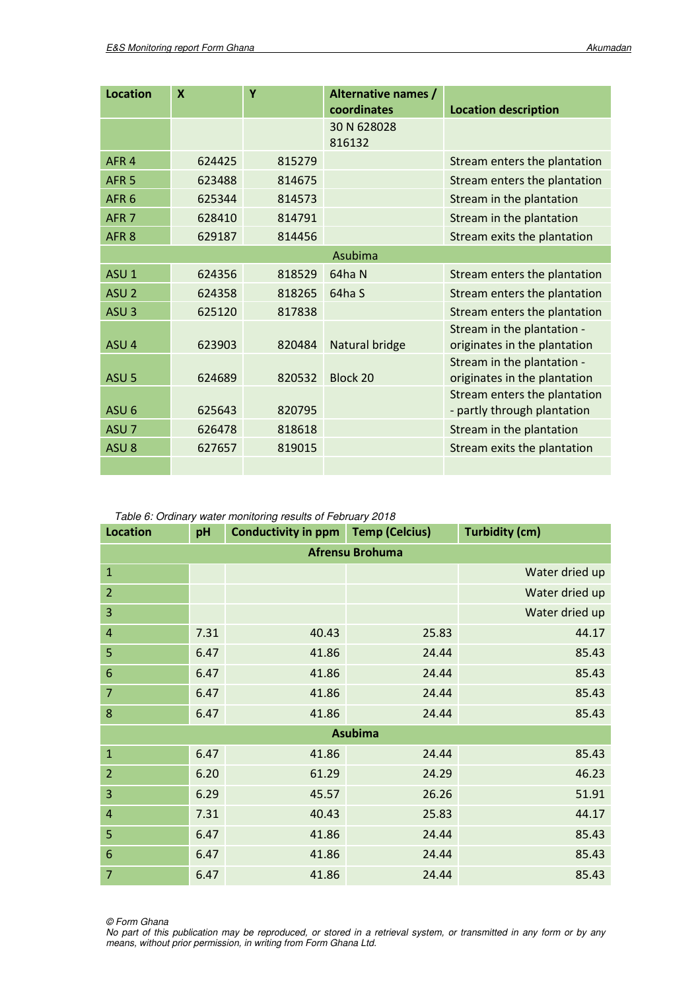| <b>Location</b>  | $\boldsymbol{\mathsf{x}}$ | Ÿ      | Alternative names / |                              |
|------------------|---------------------------|--------|---------------------|------------------------------|
|                  |                           |        | coordinates         | <b>Location description</b>  |
|                  |                           |        | 30 N 628028         |                              |
|                  |                           |        | 816132              |                              |
| AFR <sub>4</sub> | 624425                    | 815279 |                     | Stream enters the plantation |
| AFR <sub>5</sub> | 623488                    | 814675 |                     | Stream enters the plantation |
| AFR <sub>6</sub> | 625344                    | 814573 |                     | Stream in the plantation     |
| AFR <sub>7</sub> | 628410                    | 814791 |                     | Stream in the plantation     |
| AFR <sub>8</sub> | 629187                    | 814456 |                     | Stream exits the plantation  |
|                  |                           |        | Asubima             |                              |
| ASU <sub>1</sub> | 624356                    | 818529 | 64ha N              | Stream enters the plantation |
| ASU <sub>2</sub> | 624358                    | 818265 | 64ha S              | Stream enters the plantation |
| ASU <sub>3</sub> | 625120                    | 817838 |                     | Stream enters the plantation |
|                  |                           |        |                     | Stream in the plantation -   |
| ASU <sub>4</sub> | 623903                    | 820484 | Natural bridge      | originates in the plantation |
|                  |                           |        |                     | Stream in the plantation -   |
| ASU <sub>5</sub> | 624689                    | 820532 | Block 20            | originates in the plantation |
|                  |                           |        |                     | Stream enters the plantation |
| ASU <sub>6</sub> | 625643                    | 820795 |                     | - partly through plantation  |
| ASU <sub>7</sub> | 626478                    | 818618 |                     | Stream in the plantation     |
| ASU <sub>8</sub> | 627657                    | 819015 |                     | Stream exits the plantation  |
|                  |                           |        |                     |                              |

#### Table 6: Ordinary water monitoring results of February 2018

| <b>Location</b>        | pH   | <b>Conductivity in ppm</b> Temp (Celcius) |                | <b>Turbidity (cm)</b> |  |  |  |
|------------------------|------|-------------------------------------------|----------------|-----------------------|--|--|--|
| <b>Afrensu Brohuma</b> |      |                                           |                |                       |  |  |  |
| $\mathbf{1}$           |      |                                           |                | Water dried up        |  |  |  |
| $\overline{2}$         |      |                                           |                | Water dried up        |  |  |  |
| 3                      |      |                                           |                | Water dried up        |  |  |  |
| $\overline{a}$         | 7.31 | 40.43                                     | 25.83          | 44.17                 |  |  |  |
| 5                      | 6.47 | 41.86                                     | 24.44          | 85.43                 |  |  |  |
| $\boldsymbol{6}$       | 6.47 | 41.86                                     | 24.44          | 85.43                 |  |  |  |
| $\overline{7}$         | 6.47 | 41.86                                     | 24.44          | 85.43                 |  |  |  |
| 8                      | 6.47 | 41.86                                     | 24.44          | 85.43                 |  |  |  |
|                        |      |                                           | <b>Asubima</b> |                       |  |  |  |
| $\mathbf{1}$           | 6.47 | 41.86                                     | 24.44          | 85.43                 |  |  |  |
| $\overline{2}$         | 6.20 | 61.29                                     | 24.29          | 46.23                 |  |  |  |
| 3                      | 6.29 | 45.57                                     | 26.26          | 51.91                 |  |  |  |
| $\overline{a}$         | 7.31 | 40.43                                     | 25.83          | 44.17                 |  |  |  |
| 5                      | 6.47 | 41.86                                     | 24.44          | 85.43                 |  |  |  |
| 6                      | 6.47 | 41.86                                     | 24.44          | 85.43                 |  |  |  |
| 7                      | 6.47 | 41.86                                     | 24.44          | 85.43                 |  |  |  |

© Form Ghana

No part of this publication may be reproduced, or stored in a retrieval system, or transmitted in any form or by any means, without prior permission, in writing from Form Ghana Ltd.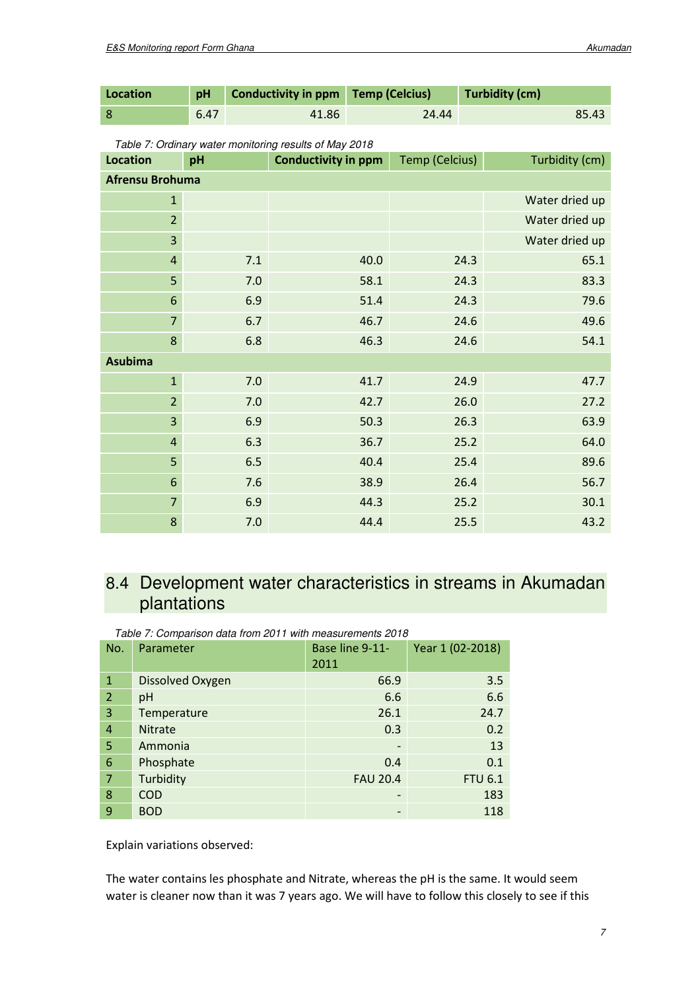| <b>Location</b>                                        | pH   |     | <b>Conductivity in ppm</b> |      | <b>Temp (Celcius)</b> |      | <b>Turbidity (cm)</b> |
|--------------------------------------------------------|------|-----|----------------------------|------|-----------------------|------|-----------------------|
| 8                                                      | 6.47 |     | 41.86                      |      | 24.44                 |      | 85.43                 |
| Table 7: Ordinary water monitoring results of May 2018 |      |     |                            |      |                       |      |                       |
| <b>Location</b>                                        | pH   |     | <b>Conductivity in ppm</b> |      | Temp (Celcius)        |      | Turbidity (cm)        |
| <b>Afrensu Brohuma</b>                                 |      |     |                            |      |                       |      |                       |
| $\mathbf{1}$                                           |      |     |                            |      |                       |      | Water dried up        |
| $\overline{2}$                                         |      |     |                            |      |                       |      | Water dried up        |
| 3                                                      |      |     |                            |      |                       |      | Water dried up        |
| $\overline{4}$                                         |      | 7.1 |                            | 40.0 |                       | 24.3 | 65.1                  |
| 5                                                      |      | 7.0 |                            | 58.1 |                       | 24.3 | 83.3                  |
| 6                                                      |      | 6.9 |                            | 51.4 |                       | 24.3 | 79.6                  |
| $\overline{7}$                                         |      | 6.7 |                            | 46.7 |                       | 24.6 | 49.6                  |
| 8                                                      |      | 6.8 |                            | 46.3 |                       | 24.6 | 54.1                  |
| <b>Asubima</b>                                         |      |     |                            |      |                       |      |                       |
| $\mathbf{1}$                                           |      | 7.0 |                            | 41.7 |                       | 24.9 | 47.7                  |
| $\overline{2}$                                         |      | 7.0 |                            | 42.7 |                       | 26.0 | 27.2                  |
| 3                                                      |      | 6.9 |                            | 50.3 |                       | 26.3 | 63.9                  |
| $\overline{4}$                                         |      | 6.3 |                            | 36.7 |                       | 25.2 | 64.0                  |
| 5                                                      |      | 6.5 |                            | 40.4 |                       | 25.4 | 89.6                  |
| $\boldsymbol{6}$                                       |      | 7.6 |                            | 38.9 |                       | 26.4 | 56.7                  |
| $\overline{7}$                                         |      | 6.9 |                            | 44.3 |                       | 25.2 | 30.1                  |
| 8                                                      |      | 7.0 |                            | 44.4 |                       | 25.5 | 43.2                  |

## 8.4 Development water characteristics in streams in Akumadan plantations

Table 7: Comparison data from 2011 with measurements 2018

| No.            | Parameter        | Base line 9-11-<br>2011  | Year 1 (02-2018) |
|----------------|------------------|--------------------------|------------------|
| $\mathbf{1}$   | Dissolved Oxygen | 66.9                     | 3.5              |
| 2              | pH               | 6.6                      | 6.6              |
| 3              | Temperature      | 26.1                     | 24.7             |
| $\overline{4}$ | <b>Nitrate</b>   | 0.3                      | 0.2              |
| 5              | Ammonia          |                          | 13               |
| 6              | Phosphate        | 0.4                      | 0.1              |
| $\overline{7}$ | Turbidity        | <b>FAU 20.4</b>          | <b>FTU 6.1</b>   |
| 8              | <b>COD</b>       | $\overline{\phantom{0}}$ | 183              |
| 9              | <b>BOD</b>       | $\overline{\phantom{a}}$ | 118              |

Explain variations observed:

The water contains les phosphate and Nitrate, whereas the pH is the same. It would seem water is cleaner now than it was 7 years ago. We will have to follow this closely to see if this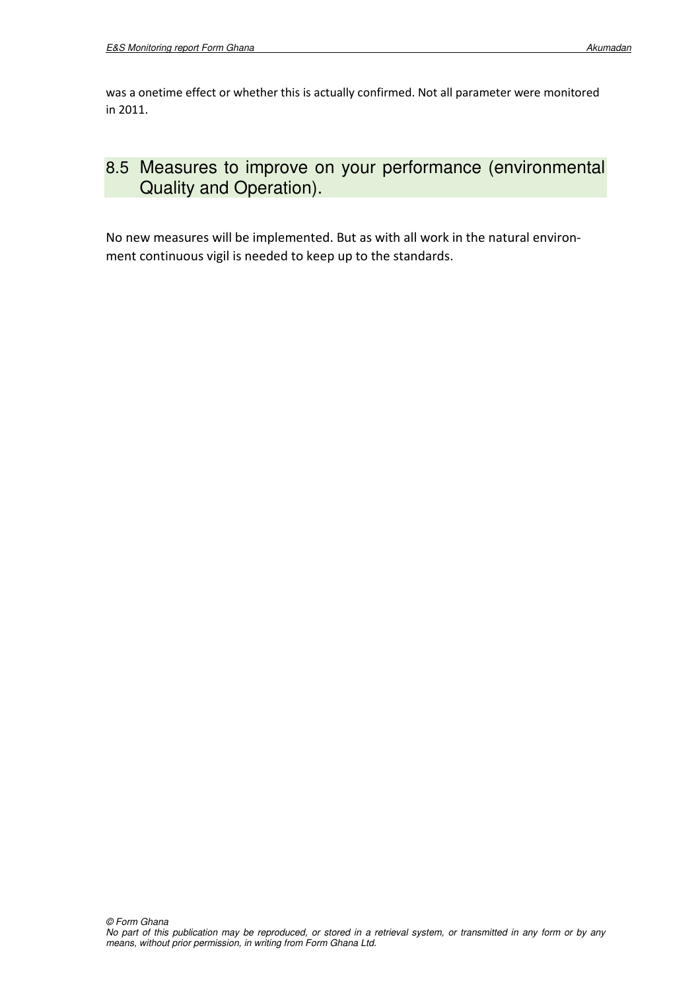was a onetime effect or whether this is actually confirmed. Not all parameter were monitored in 2011.

## 8.5 Measures to improve on your performance (environmental Quality and Operation).

No new measures will be implemented. But as with all work in the natural environment continuous vigil is needed to keep up to the standards.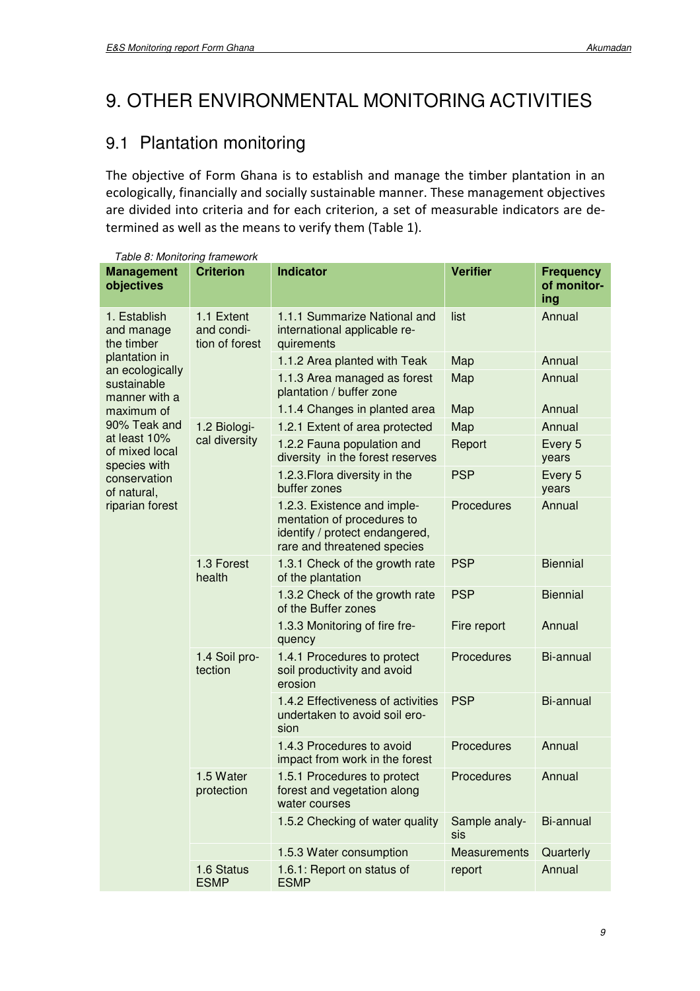# 9. OTHER ENVIRONMENTAL MONITORING ACTIVITIES

## 9.1 Plantation monitoring

The objective of Form Ghana is to establish and manage the timber plantation in an ecologically, financially and socially sustainable manner. These management objectives are divided into criteria and for each criterion, a set of measurable indicators are determined as well as the means to verify them (Table 1).

| <b>Management</b><br>objectives                 | <b>Criterion</b>                           | <b>Indicator</b>                                                                                                           | <b>Verifier</b>      | <b>Frequency</b><br>of monitor-<br>ing |
|-------------------------------------------------|--------------------------------------------|----------------------------------------------------------------------------------------------------------------------------|----------------------|----------------------------------------|
| 1. Establish<br>and manage<br>the timber        | 1.1 Extent<br>and condi-<br>tion of forest | 1.1.1 Summarize National and<br>international applicable re-<br>quirements                                                 | list                 | Annual                                 |
| plantation in                                   |                                            | 1.1.2 Area planted with Teak                                                                                               | Map                  | Annual                                 |
| an ecologically<br>sustainable<br>manner with a |                                            | 1.1.3 Area managed as forest<br>plantation / buffer zone                                                                   | Map                  | Annual                                 |
| maximum of                                      |                                            | 1.1.4 Changes in planted area                                                                                              | Map                  | Annual                                 |
| 90% Teak and                                    | 1.2 Biologi-                               | 1.2.1 Extent of area protected                                                                                             | Map                  | Annual                                 |
| at least 10%<br>of mixed local<br>species with  | cal diversity                              | 1.2.2 Fauna population and<br>diversity in the forest reserves                                                             | Report               | Every 5<br>years                       |
| conservation<br>of natural,                     |                                            | 1.2.3. Flora diversity in the<br>buffer zones                                                                              | <b>PSP</b>           | Every 5<br>years                       |
| riparian forest                                 |                                            | 1.2.3. Existence and imple-<br>mentation of procedures to<br>identify / protect endangered,<br>rare and threatened species | Procedures           | Annual                                 |
|                                                 | 1.3 Forest<br>health                       | 1.3.1 Check of the growth rate<br>of the plantation                                                                        | <b>PSP</b>           | <b>Biennial</b>                        |
|                                                 |                                            | 1.3.2 Check of the growth rate<br>of the Buffer zones                                                                      | <b>PSP</b>           | <b>Biennial</b>                        |
|                                                 |                                            | 1.3.3 Monitoring of fire fre-<br>quency                                                                                    | Fire report          | Annual                                 |
|                                                 | 1.4 Soil pro-<br>tection                   | 1.4.1 Procedures to protect<br>soil productivity and avoid<br>erosion                                                      | Procedures           | Bi-annual                              |
|                                                 |                                            | 1.4.2 Effectiveness of activities<br>undertaken to avoid soil ero-<br>sion                                                 | <b>PSP</b>           | Bi-annual                              |
|                                                 |                                            | 1.4.3 Procedures to avoid<br>impact from work in the forest                                                                | Procedures           | Annual                                 |
|                                                 | 1.5 Water<br>protection                    | 1.5.1 Procedures to protect<br>forest and vegetation along<br>water courses                                                | Procedures           | Annual                                 |
|                                                 |                                            | 1.5.2 Checking of water quality                                                                                            | Sample analy-<br>sis | Bi-annual                              |
|                                                 |                                            | 1.5.3 Water consumption                                                                                                    | <b>Measurements</b>  | Quarterly                              |
|                                                 | 1.6 Status<br><b>ESMP</b>                  | 1.6.1: Report on status of<br><b>ESMP</b>                                                                                  | report               | Annual                                 |

Table 8: Monitoring framework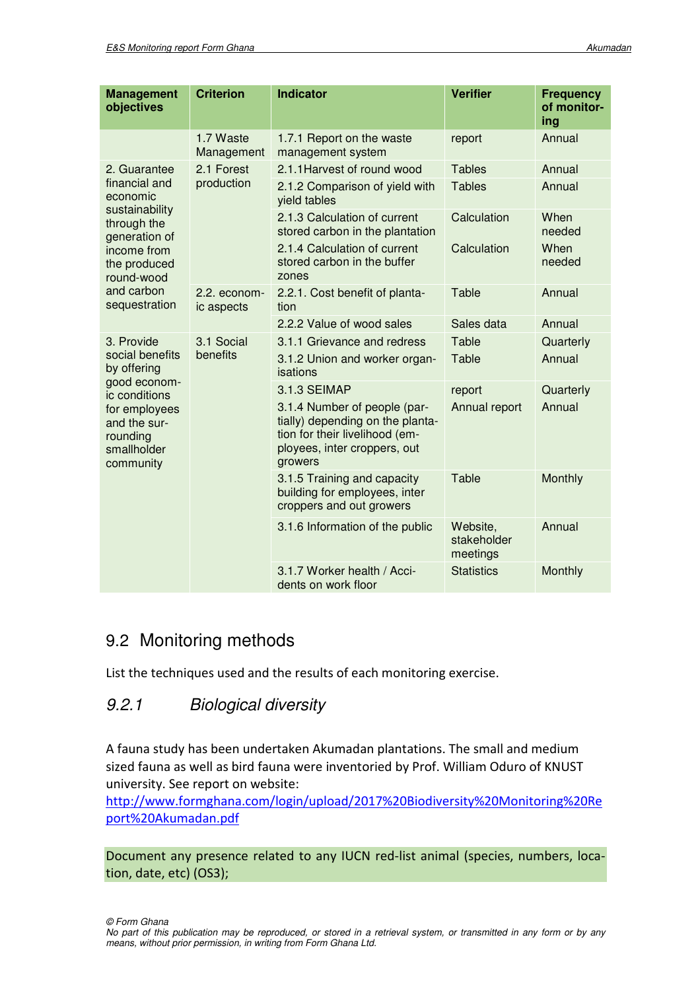| <b>Management</b><br>objectives                                       | <b>Criterion</b>           | <b>Indicator</b>                                                                                                                              | <b>Verifier</b>                     | <b>Frequency</b><br>of monitor-<br>ing |
|-----------------------------------------------------------------------|----------------------------|-----------------------------------------------------------------------------------------------------------------------------------------------|-------------------------------------|----------------------------------------|
|                                                                       | 1.7 Waste<br>Management    | 1.7.1 Report on the waste<br>management system                                                                                                | report                              | Annual                                 |
| 2. Guarantee                                                          | 2.1 Forest                 | 2.1.1 Harvest of round wood                                                                                                                   | <b>Tables</b>                       | Annual                                 |
| financial and<br>economic                                             | production                 | 2.1.2 Comparison of yield with<br>yield tables                                                                                                | <b>Tables</b>                       | Annual                                 |
| sustainability<br>through the<br>generation of                        |                            | 2.1.3 Calculation of current<br>stored carbon in the plantation                                                                               | Calculation                         | When<br>needed                         |
| income from<br>the produced<br>round-wood                             |                            | 2.1.4 Calculation of current<br>stored carbon in the buffer<br>zones                                                                          | Calculation                         | When<br>needed                         |
| and carbon<br>sequestration                                           | 2.2. econom-<br>ic aspects | 2.2.1. Cost benefit of planta-<br>tion                                                                                                        |                                     | Annual                                 |
|                                                                       |                            | 2.2.2 Value of wood sales                                                                                                                     | Sales data                          | Annual                                 |
| 3. Provide                                                            | 3.1 Social<br>benefits     | 3.1.1 Grievance and redress                                                                                                                   | Table                               | Quarterly                              |
| social benefits<br>by offering                                        |                            | 3.1.2 Union and worker organ-<br>isations                                                                                                     | Table                               | Annual                                 |
| good econom-<br>ic conditions                                         |                            | 3.1.3 SEIMAP                                                                                                                                  | report                              | Quarterly                              |
| for employees<br>and the sur-<br>rounding<br>smallholder<br>community |                            | 3.1.4 Number of people (par-<br>tially) depending on the planta-<br>tion for their livelihood (em-<br>ployees, inter croppers, out<br>growers | Annual report                       | Annual                                 |
|                                                                       |                            | 3.1.5 Training and capacity<br>building for employees, inter<br>croppers and out growers                                                      |                                     | Monthly                                |
|                                                                       |                            | 3.1.6 Information of the public                                                                                                               | Website,<br>stakeholder<br>meetings | Annual                                 |
|                                                                       |                            | 3.1.7 Worker health / Acci-<br>dents on work floor                                                                                            | <b>Statistics</b>                   | Monthly                                |

## 9.2 Monitoring methods

List the techniques used and the results of each monitoring exercise.

### 9.2.1 Biological diversity

A fauna study has been undertaken Akumadan plantations. The small and medium sized fauna as well as bird fauna were inventoried by Prof. William Oduro of KNUST university. See report on website:

http://www.formghana.com/login/upload/2017%20Biodiversity%20Monitoring%20Re port%20Akumadan.pdf

Document any presence related to any IUCN red-list animal (species, numbers, location, date, etc) (OS3);

© Form Ghana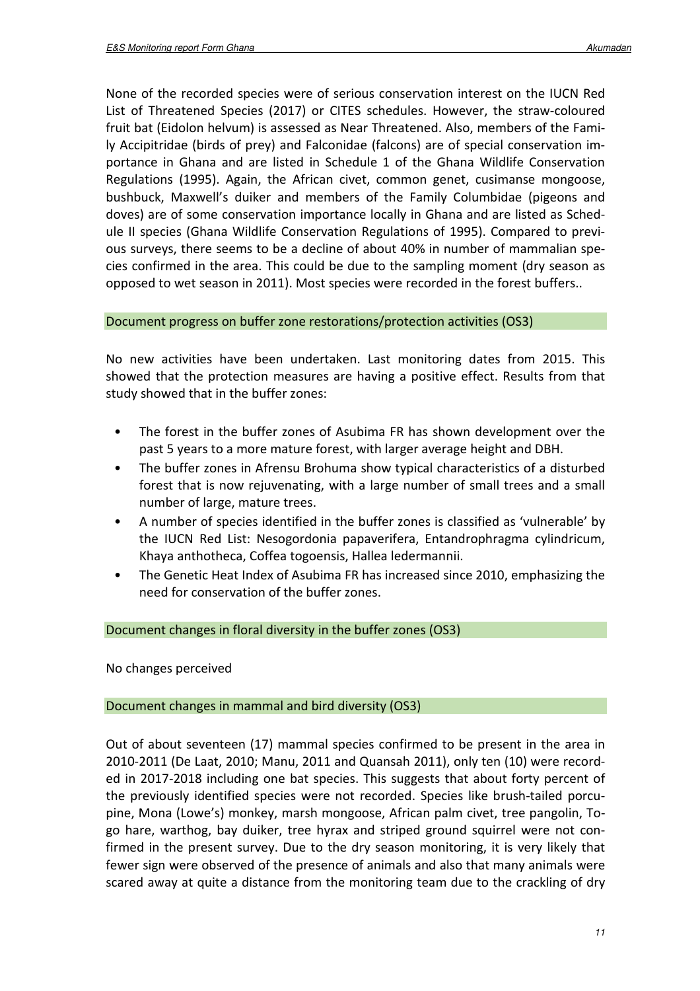None of the recorded species were of serious conservation interest on the IUCN Red List of Threatened Species (2017) or CITES schedules. However, the straw-coloured fruit bat (Eidolon helvum) is assessed as Near Threatened. Also, members of the Family Accipitridae (birds of prey) and Falconidae (falcons) are of special conservation importance in Ghana and are listed in Schedule 1 of the Ghana Wildlife Conservation Regulations (1995). Again, the African civet, common genet, cusimanse mongoose, bushbuck, Maxwell's duiker and members of the Family Columbidae (pigeons and doves) are of some conservation importance locally in Ghana and are listed as Schedule II species (Ghana Wildlife Conservation Regulations of 1995). Compared to previous surveys, there seems to be a decline of about 40% in number of mammalian species confirmed in the area. This could be due to the sampling moment (dry season as opposed to wet season in 2011). Most species were recorded in the forest buffers..

#### Document progress on buffer zone restorations/protection activities (OS3)

No new activities have been undertaken. Last monitoring dates from 2015. This showed that the protection measures are having a positive effect. Results from that study showed that in the buffer zones:

- The forest in the buffer zones of Asubima FR has shown development over the past 5 years to a more mature forest, with larger average height and DBH.
- The buffer zones in Afrensu Brohuma show typical characteristics of a disturbed forest that is now rejuvenating, with a large number of small trees and a small number of large, mature trees.
- A number of species identified in the buffer zones is classified as 'vulnerable' by the IUCN Red List: Nesogordonia papaverifera, Entandrophragma cylindricum, Khaya anthotheca, Coffea togoensis, Hallea ledermannii.
- The Genetic Heat Index of Asubima FR has increased since 2010, emphasizing the need for conservation of the buffer zones.

#### Document changes in floral diversity in the buffer zones (OS3)

No changes perceived

#### Document changes in mammal and bird diversity (OS3)

Out of about seventeen (17) mammal species confirmed to be present in the area in 2010-2011 (De Laat, 2010; Manu, 2011 and Quansah 2011), only ten (10) were recorded in 2017-2018 including one bat species. This suggests that about forty percent of the previously identified species were not recorded. Species like brush-tailed porcupine, Mona (Lowe's) monkey, marsh mongoose, African palm civet, tree pangolin, Togo hare, warthog, bay duiker, tree hyrax and striped ground squirrel were not confirmed in the present survey. Due to the dry season monitoring, it is very likely that fewer sign were observed of the presence of animals and also that many animals were scared away at quite a distance from the monitoring team due to the crackling of dry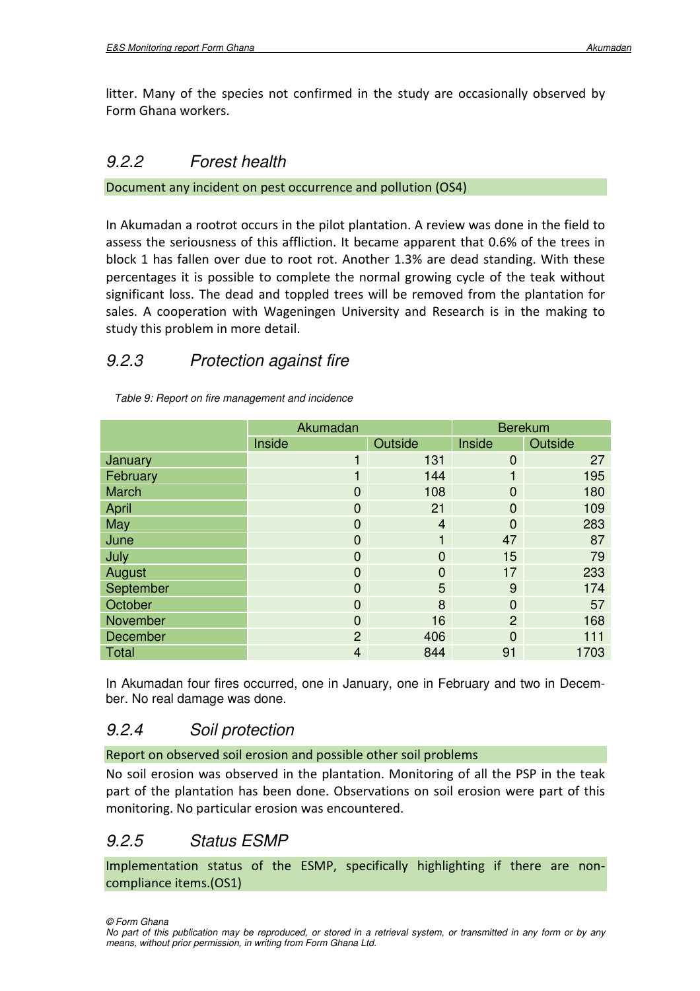litter. Many of the species not confirmed in the study are occasionally observed by Form Ghana workers.

#### 9.2.2 Forest health

Document any incident on pest occurrence and pollution (OS4)

In Akumadan a rootrot occurs in the pilot plantation. A review was done in the field to assess the seriousness of this affliction. It became apparent that 0.6% of the trees in block 1 has fallen over due to root rot. Another 1.3% are dead standing. With these percentages it is possible to complete the normal growing cycle of the teak without significant loss. The dead and toppled trees will be removed from the plantation for sales. A cooperation with Wageningen University and Research is in the making to study this problem in more detail.

### 9.2.3 Protection against fire

|              | Akumadan       | <b>Berekum</b> |                |         |
|--------------|----------------|----------------|----------------|---------|
|              | Inside         | Outside        | Inside         | Outside |
| January      | 1              | 131            | $\mathbf 0$    | 27      |
| February     | 1              | 144            | 1              | 195     |
| March        | $\overline{0}$ | 108            | $\mathbf 0$    | 180     |
| April        | $\overline{0}$ | 21             | $\mathbf 0$    | 109     |
| May          | $\overline{0}$ | $\overline{4}$ | $\mathbf 0$    | 283     |
| June         | $\overline{0}$ |                | 47             | 87      |
| July         | $\overline{0}$ | $\mathbf 0$    | 15             | 79      |
| August       | $\overline{0}$ | $\mathbf 0$    | 17             | 233     |
| September    | $\overline{0}$ | 5              | 9              | 174     |
| October      | $\overline{0}$ | 8              | $\mathbf 0$    | 57      |
| November     | $\overline{0}$ | 16             | $\overline{2}$ | 168     |
| December     | $\overline{2}$ | 406            | $\mathbf 0$    | 111     |
| <b>Total</b> | $\overline{4}$ | 844            | 91             | 1703    |

Table 9: Report on fire management and incidence

In Akumadan four fires occurred, one in January, one in February and two in December. No real damage was done.

### 9.2.4 Soil protection

Report on observed soil erosion and possible other soil problems

No soil erosion was observed in the plantation. Monitoring of all the PSP in the teak part of the plantation has been done. Observations on soil erosion were part of this monitoring. No particular erosion was encountered.

### 9.2.5 Status ESMP

Implementation status of the ESMP, specifically highlighting if there are noncompliance items.(OS1)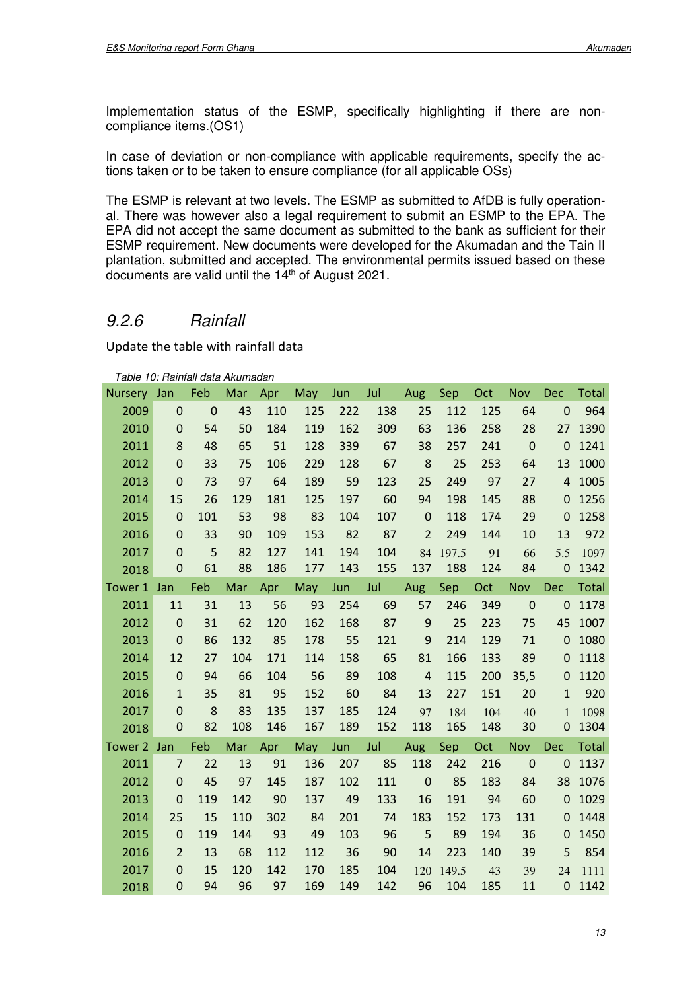Implementation status of the ESMP, specifically highlighting if there are noncompliance items.(OS1)

In case of deviation or non-compliance with applicable requirements, specify the actions taken or to be taken to ensure compliance (for all applicable OSs)

The ESMP is relevant at two levels. The ESMP as submitted to AfDB is fully operational. There was however also a legal requirement to submit an ESMP to the EPA. The EPA did not accept the same document as submitted to the bank as sufficient for their ESMP requirement. New documents were developed for the Akumadan and the Tain II plantation, submitted and accepted. The environmental permits issued based on these documents are valid until the 14<sup>th</sup> of August 2021.

### 9.2.6 Rainfall

Update the table with rainfall data

Table 10: Rainfall data Akumadan

| <b>Nursery</b> | Jan            | Feb         | Mar | Apr | May | Jun | Jul | Aug            | Sep   | Oct | Nov         | <b>Dec</b>       | Total        |
|----------------|----------------|-------------|-----|-----|-----|-----|-----|----------------|-------|-----|-------------|------------------|--------------|
| 2009           | $\Omega$       | $\mathbf 0$ | 43  | 110 | 125 | 222 | 138 | 25             | 112   | 125 | 64          | $\mathbf 0$      | 964          |
| 2010           | $\Omega$       | 54          | 50  | 184 | 119 | 162 | 309 | 63             | 136   | 258 | 28          | 27               | 1390         |
| 2011           | 8              | 48          | 65  | 51  | 128 | 339 | 67  | 38             | 257   | 241 | $\mathbf 0$ | $\mathbf 0$      | 1241         |
| 2012           | $\overline{0}$ | 33          | 75  | 106 | 229 | 128 | 67  | 8              | 25    | 253 | 64          | 13               | 1000         |
| 2013           | $\mathbf 0$    | 73          | 97  | 64  | 189 | 59  | 123 | 25             | 249   | 97  | 27          | $\overline{4}$   | 1005         |
| 2014           | 15             | 26          | 129 | 181 | 125 | 197 | 60  | 94             | 198   | 145 | 88          | $\boldsymbol{0}$ | 1256         |
| 2015           | $\mathbf{0}$   | 101         | 53  | 98  | 83  | 104 | 107 | $\mathbf 0$    | 118   | 174 | 29          | $\mathbf 0$      | 1258         |
| 2016           | $\Omega$       | 33          | 90  | 109 | 153 | 82  | 87  | $\overline{2}$ | 249   | 144 | 10          | 13               | 972          |
| 2017           | $\overline{0}$ | 5           | 82  | 127 | 141 | 194 | 104 | 84             | 197.5 | 91  | 66          | 5.5              | 1097         |
| 2018           | $\mathbf 0$    | 61          | 88  | 186 | 177 | 143 | 155 | 137            | 188   | 124 | 84          | $\boldsymbol{0}$ | 1342         |
| Tower 1        | Jan            | Feb         | Mar | Apr | May | Jun | Jul | Aug            | Sep   | Oct | Nov         | <b>Dec</b>       | <b>Total</b> |
| 2011           | 11             | 31          | 13  | 56  | 93  | 254 | 69  | 57             | 246   | 349 | $\mathbf 0$ | $\boldsymbol{0}$ | 1178         |
| 2012           | $\mathbf 0$    | 31          | 62  | 120 | 162 | 168 | 87  | 9              | 25    | 223 | 75          | 45               | 1007         |
| 2013           | $\mathbf 0$    | 86          | 132 | 85  | 178 | 55  | 121 | 9              | 214   | 129 | 71          | $\mathbf 0$      | 1080         |
| 2014           | 12             | 27          | 104 | 171 | 114 | 158 | 65  | 81             | 166   | 133 | 89          | $\mathbf 0$      | 1118         |
| 2015           | $\mathbf 0$    | 94          | 66  | 104 | 56  | 89  | 108 | $\overline{4}$ | 115   | 200 | 35,5        | $\mathbf 0$      | 1120         |
| 2016           | $\mathbf{1}$   | 35          | 81  | 95  | 152 | 60  | 84  | 13             | 227   | 151 | 20          | $\mathbf{1}$     | 920          |
| 2017           | $\overline{0}$ | 8           | 83  | 135 | 137 | 185 | 124 | 97             | 184   | 104 | 40          | $\mathbf{1}$     | 1098         |
| 2018           | $\mathbf 0$    | 82          | 108 | 146 | 167 | 189 | 152 | 118            | 165   | 148 | 30          | $\boldsymbol{0}$ | 1304         |
| <b>Tower 2</b> | Jan            | Feb         | Mar | Apr | May | Jun | Jul | Aug            | Sep   | Oct | Nov         | <b>Dec</b>       | Total        |
| 2011           | $\overline{7}$ | 22          | 13  | 91  | 136 | 207 | 85  | 118            | 242   | 216 | $\mathbf 0$ | $\boldsymbol{0}$ | 1137         |
| 2012           | $\Omega$       | 45          | 97  | 145 | 187 | 102 | 111 | $\mathbf 0$    | 85    | 183 | 84          | 38               | 1076         |
| 2013           | $\overline{0}$ | 119         | 142 | 90  | 137 | 49  | 133 | 16             | 191   | 94  | 60          | $\mathbf 0$      | 1029         |
| 2014           | 25             | 15          | 110 | 302 | 84  | 201 | 74  | 183            | 152   | 173 | 131         | $\mathbf 0$      | 1448         |
| 2015           | $\mathbf 0$    | 119         | 144 | 93  | 49  | 103 | 96  | 5              | 89    | 194 | 36          | $\boldsymbol{0}$ | 1450         |
| 2016           | $\overline{2}$ | 13          | 68  | 112 | 112 | 36  | 90  | 14             | 223   | 140 | 39          | 5                | 854          |
| 2017           | $\overline{0}$ | 15          | 120 | 142 | 170 | 185 | 104 | 120            | 149.5 | 43  | 39          | 24               | 1111         |
| 2018           | $\mathbf 0$    | 94          | 96  | 97  | 169 | 149 | 142 | 96             | 104   | 185 | 11          | $\mathbf 0$      | 1142         |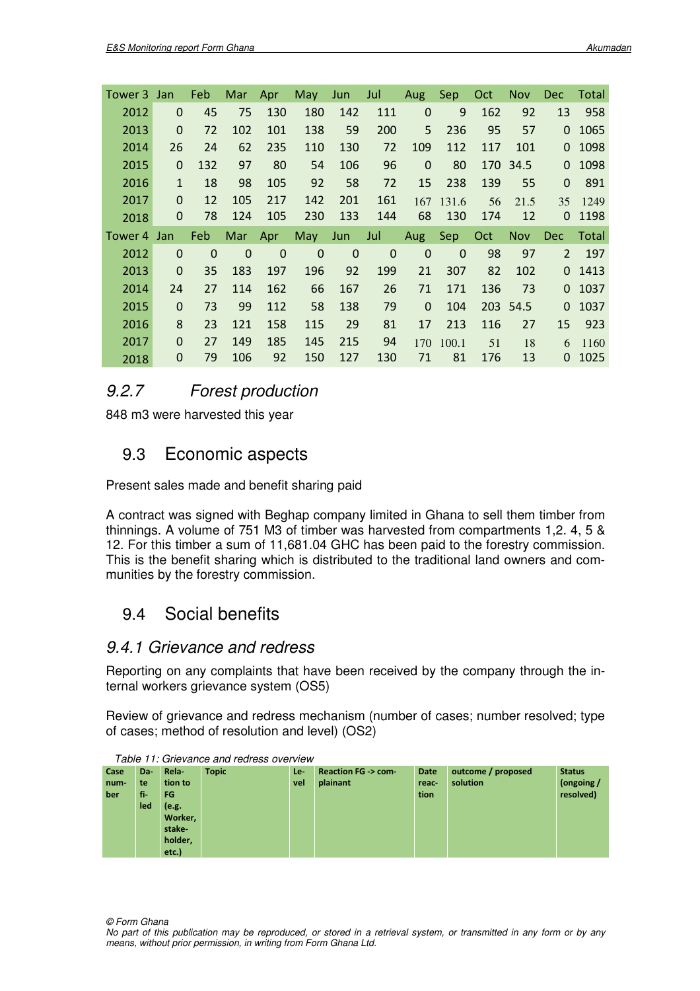| Tower 3 | Jan          | Feb         | Mar        | Apr         | May         | Jun      | Jul      | <b>Aug</b>  | <b>Sep</b> | Oct | <b>Nov</b> | <b>Dec</b>     | Total |
|---------|--------------|-------------|------------|-------------|-------------|----------|----------|-------------|------------|-----|------------|----------------|-------|
| 2012    | $\Omega$     | 45          | 75         | 130         | 180         | 142      | 111      | 0           | 9          | 162 | 92         | 13             | 958   |
| 2013    | $\Omega$     | 72          | 102        | 101         | 138         | 59       | 200      | 5           | 236        | 95  | 57         | $\mathbf{0}$   | 1065  |
| 2014    | 26           | 24          | 62         | 235         | 110         | 130      | 72       | 109         | 112        | 117 | 101        | $\mathbf{0}$   | 1098  |
| 2015    | $\mathbf 0$  | 132         | 97         | 80          | 54          | 106      | 96       | $\mathbf 0$ | 80         | 170 | 34.5       | $\mathbf{0}$   | 1098  |
| 2016    | $\mathbf{1}$ | 18          | 98         | 105         | 92          | 58       | 72       | 15          | 238        | 139 | 55         | $\mathbf{0}$   | 891   |
| 2017    | $\Omega$     | 12          | 105        | 217         | 142         | 201      | 161      | 167         | 131.6      | 56  | 21.5       | 35             | 1249  |
| 2018    | $\mathbf 0$  | 78          | 124        | 105         | 230         | 133      | 144      | 68          | 130        | 174 | 12         | $\mathbf{0}$   | 1198  |
|         |              |             |            |             |             |          |          |             |            |     |            |                |       |
| Tower 4 | Jan          | Feb         | <b>Mar</b> | Apr         | May         | Jun      | Jul      | <b>Aug</b>  | <b>Sep</b> | Oct | <b>Nov</b> | <b>Dec</b>     | Total |
| 2012    | $\Omega$     | $\mathbf 0$ | $\Omega$   | $\mathbf 0$ | $\mathbf 0$ | $\Omega$ | $\Omega$ | $\mathbf 0$ | $\Omega$   | 98  | 97         | $\overline{2}$ | 197   |
| 2013    | $\Omega$     | 35          | 183        | 197         | 196         | 92       | 199      | 21          | 307        | 82  | 102        | $\Omega$       | 1413  |
| 2014    | 24           | 27          | 114        | 162         | 66          | 167      | 26       | 71          | 171        | 136 | 73         | $\Omega$       | 1037  |
| 2015    | $\mathbf 0$  | 73          | 99         | 112         | 58          | 138      | 79       | $\Omega$    | 104        |     | 203 54.5   | $\mathbf{0}$   | 1037  |
| 2016    | 8            | 23          | 121        | 158         | 115         | 29       | 81       | 17          | 213        | 116 | 27         | 15             | 923   |
| 2017    | $\Omega$     | 27          | 149        | 185         | 145         | 215      | 94       | 170         | 100.1      | 51  | 18         | 6              | 1160  |

## 9.2.7 Forest production

848 m3 were harvested this year

## 9.3 Economic aspects

Present sales made and benefit sharing paid

A contract was signed with Beghap company limited in Ghana to sell them timber from thinnings. A volume of 751 M3 of timber was harvested from compartments 1,2. 4, 5 & 12. For this timber a sum of 11,681.04 GHC has been paid to the forestry commission. This is the benefit sharing which is distributed to the traditional land owners and communities by the forestry commission.

## 9.4 Social benefits

### 9.4.1 Grievance and redress

Reporting on any complaints that have been received by the company through the internal workers grievance system (OS5)

Review of grievance and redress mechanism (number of cases; number resolved; type of cases; method of resolution and level) (OS2)

| Case | Da- | Rela-   | <b>Topic</b> | Le- | <b>Reaction FG -&gt; com-</b> | <b>Date</b> | outcome / proposed | <b>Status</b> |
|------|-----|---------|--------------|-----|-------------------------------|-------------|--------------------|---------------|
| num- | te  | tion to |              | vel | plainant                      | reac-       | solution           | (ongoing/     |
| ber  | fi- | FG.     |              |     |                               | tion        |                    | resolved)     |
|      | led | (e.g.   |              |     |                               |             |                    |               |
|      |     | Worker, |              |     |                               |             |                    |               |
|      |     | stake-  |              |     |                               |             |                    |               |
|      |     | holder, |              |     |                               |             |                    |               |
|      |     | etc.)   |              |     |                               |             |                    |               |

Table 11: Grievance and redress overview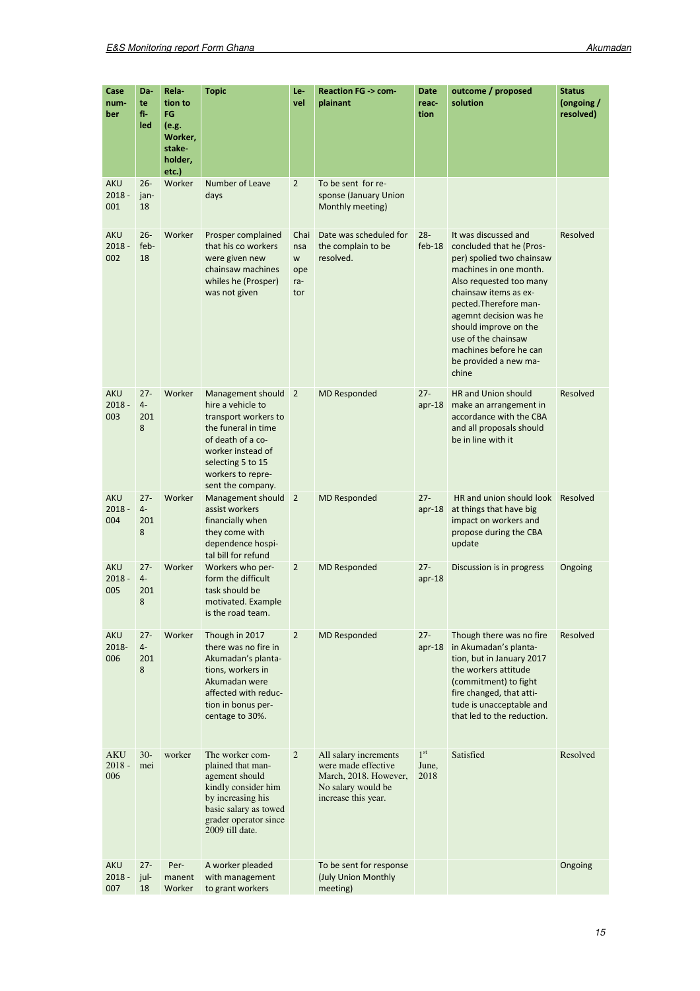| Case<br>num-<br>ber           | Da-<br>te<br>fi-<br>led    | Rela-<br>tion to<br>FG.<br>(e.g.<br>Worker,<br>stake-<br>holder,<br>etc.) | <b>Topic</b>                                                                                                                                                                                   | Le-<br>vel                            | <b>Reaction FG -&gt; com-</b><br>plainant                                                                          | Date<br>reac-<br>tion            | outcome / proposed<br>solution                                                                                                                                                                                                                                                                                              | <b>Status</b><br>(ongoing/<br>resolved) |
|-------------------------------|----------------------------|---------------------------------------------------------------------------|------------------------------------------------------------------------------------------------------------------------------------------------------------------------------------------------|---------------------------------------|--------------------------------------------------------------------------------------------------------------------|----------------------------------|-----------------------------------------------------------------------------------------------------------------------------------------------------------------------------------------------------------------------------------------------------------------------------------------------------------------------------|-----------------------------------------|
| <b>AKU</b><br>$2018 -$<br>001 | $26 -$<br>jan-<br>18       | Worker                                                                    | Number of Leave<br>days                                                                                                                                                                        | $\overline{2}$                        | To be sent for re-<br>sponse (January Union<br>Monthly meeting)                                                    |                                  |                                                                                                                                                                                                                                                                                                                             |                                         |
| <b>AKU</b><br>$2018 -$<br>002 | $26 -$<br>feb-<br>18       | Worker                                                                    | Prosper complained<br>that his co workers<br>were given new<br>chainsaw machines<br>whiles he (Prosper)<br>was not given                                                                       | Chai<br>nsa<br>W<br>ope<br>ra-<br>tor | Date was scheduled for<br>the complain to be<br>resolved.                                                          | $28 -$<br>$feb-18$               | It was discussed and<br>concluded that he (Pros-<br>per) spolied two chainsaw<br>machines in one month.<br>Also requested too many<br>chainsaw items as ex-<br>pected. Therefore man-<br>agemnt decision was he<br>should improve on the<br>use of the chainsaw<br>machines before he can<br>be provided a new ma-<br>chine | Resolved                                |
| <b>AKU</b><br>$2018 -$<br>003 | $27 -$<br>$4-$<br>201<br>8 | Worker                                                                    | Management should<br>hire a vehicle to<br>transport workers to<br>the funeral in time<br>of death of a co-<br>worker instead of<br>selecting 5 to 15<br>workers to repre-<br>sent the company. | $\overline{2}$                        | MD Responded                                                                                                       | $27 -$<br>apr-18                 | <b>HR and Union should</b><br>make an arrangement in<br>accordance with the CBA<br>and all proposals should<br>be in line with it                                                                                                                                                                                           | Resolved                                |
| <b>AKU</b><br>$2018 -$<br>004 | $27 -$<br>$4-$<br>201<br>8 | Worker                                                                    | Management should<br>assist workers<br>financially when<br>they come with<br>dependence hospi-<br>tal bill for refund                                                                          | $\overline{2}$                        | <b>MD Responded</b>                                                                                                | $27 -$<br>apr-18                 | HR and union should look<br>at things that have big<br>impact on workers and<br>propose during the CBA<br>update                                                                                                                                                                                                            | Resolved                                |
| <b>AKU</b><br>$2018 -$<br>005 | $27 -$<br>$4-$<br>201<br>8 | Worker                                                                    | Workers who per-<br>form the difficult<br>task should be<br>motivated. Example<br>is the road team.                                                                                            | $\overline{2}$                        | <b>MD Responded</b>                                                                                                | $27 -$<br>$apr-18$               | Discussion is in progress                                                                                                                                                                                                                                                                                                   | Ongoing                                 |
| <b>AKU</b><br>2018-<br>006    | $27 -$<br>$4-$<br>201<br>8 | Worker                                                                    | Though in 2017<br>there was no fire in<br>Akumadan's planta-<br>tions, workers in<br>Akumadan were<br>affected with reduc-<br>tion in bonus per-<br>centage to 30%.                            | $\overline{2}$                        | <b>MD Responded</b>                                                                                                | $27 -$<br>$apr-18$               | Though there was no fire<br>in Akumadan's planta-<br>tion, but in January 2017<br>the workers attitude<br>(commitment) to fight<br>fire changed, that atti-<br>tude is unacceptable and<br>that led to the reduction.                                                                                                       | Resolved                                |
| <b>AKU</b><br>$2018 -$<br>006 | $30-$<br>mei               | worker                                                                    | The worker com-<br>plained that man-<br>agement should<br>kindly consider him<br>by increasing his<br>basic salary as towed<br>grader operator since<br>2009 till date.                        | $\overline{2}$                        | All salary increments<br>were made effective<br>March, 2018. However,<br>No salary would be<br>increase this year. | 1 <sup>st</sup><br>June,<br>2018 | Satisfied                                                                                                                                                                                                                                                                                                                   | Resolved                                |
| <b>AKU</b><br>$2018 -$<br>007 | $27 -$<br>jul-<br>18       | Per-<br>manent<br>Worker                                                  | A worker pleaded<br>with management<br>to grant workers                                                                                                                                        |                                       | To be sent for response<br>(July Union Monthly<br>meeting)                                                         |                                  |                                                                                                                                                                                                                                                                                                                             | Ongoing                                 |